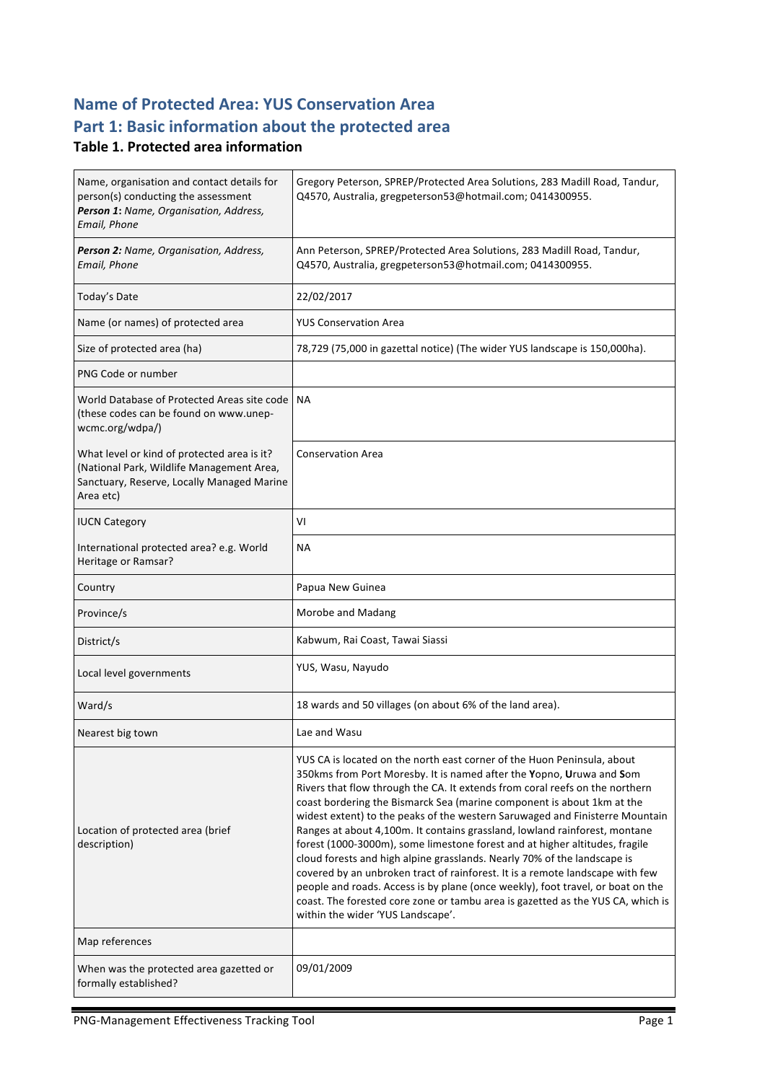## **Name of Protected Area: YUS Conservation Area** Part 1: Basic information about the protected area

#### **Table 1. Protected area information**

| Name, organisation and contact details for<br>person(s) conducting the assessment<br>Person 1: Name, Organisation, Address,<br>Email, Phone         | Gregory Peterson, SPREP/Protected Area Solutions, 283 Madill Road, Tandur,<br>Q4570, Australia, gregpeterson53@hotmail.com; 0414300955.                                                                                                                                                                                                                                                                                                                                                                                                                                                                                                                                                                                                                                                                                                                                                                                        |
|-----------------------------------------------------------------------------------------------------------------------------------------------------|--------------------------------------------------------------------------------------------------------------------------------------------------------------------------------------------------------------------------------------------------------------------------------------------------------------------------------------------------------------------------------------------------------------------------------------------------------------------------------------------------------------------------------------------------------------------------------------------------------------------------------------------------------------------------------------------------------------------------------------------------------------------------------------------------------------------------------------------------------------------------------------------------------------------------------|
| Person 2: Name, Organisation, Address,<br>Email, Phone                                                                                              | Ann Peterson, SPREP/Protected Area Solutions, 283 Madill Road, Tandur,<br>Q4570, Australia, gregpeterson53@hotmail.com; 0414300955.                                                                                                                                                                                                                                                                                                                                                                                                                                                                                                                                                                                                                                                                                                                                                                                            |
| Today's Date                                                                                                                                        | 22/02/2017                                                                                                                                                                                                                                                                                                                                                                                                                                                                                                                                                                                                                                                                                                                                                                                                                                                                                                                     |
| Name (or names) of protected area                                                                                                                   | <b>YUS Conservation Area</b>                                                                                                                                                                                                                                                                                                                                                                                                                                                                                                                                                                                                                                                                                                                                                                                                                                                                                                   |
| Size of protected area (ha)                                                                                                                         | 78,729 (75,000 in gazettal notice) (The wider YUS landscape is 150,000ha).                                                                                                                                                                                                                                                                                                                                                                                                                                                                                                                                                                                                                                                                                                                                                                                                                                                     |
| PNG Code or number                                                                                                                                  |                                                                                                                                                                                                                                                                                                                                                                                                                                                                                                                                                                                                                                                                                                                                                                                                                                                                                                                                |
| World Database of Protected Areas site code<br>(these codes can be found on www.unep-<br>wcmc.org/wdpa/)                                            | NA.                                                                                                                                                                                                                                                                                                                                                                                                                                                                                                                                                                                                                                                                                                                                                                                                                                                                                                                            |
| What level or kind of protected area is it?<br>(National Park, Wildlife Management Area,<br>Sanctuary, Reserve, Locally Managed Marine<br>Area etc) | <b>Conservation Area</b>                                                                                                                                                                                                                                                                                                                                                                                                                                                                                                                                                                                                                                                                                                                                                                                                                                                                                                       |
| <b>IUCN Category</b>                                                                                                                                | VI                                                                                                                                                                                                                                                                                                                                                                                                                                                                                                                                                                                                                                                                                                                                                                                                                                                                                                                             |
| International protected area? e.g. World<br>Heritage or Ramsar?                                                                                     | NА                                                                                                                                                                                                                                                                                                                                                                                                                                                                                                                                                                                                                                                                                                                                                                                                                                                                                                                             |
| Country                                                                                                                                             | Papua New Guinea                                                                                                                                                                                                                                                                                                                                                                                                                                                                                                                                                                                                                                                                                                                                                                                                                                                                                                               |
| Province/s                                                                                                                                          | Morobe and Madang                                                                                                                                                                                                                                                                                                                                                                                                                                                                                                                                                                                                                                                                                                                                                                                                                                                                                                              |
| District/s                                                                                                                                          | Kabwum, Rai Coast, Tawai Siassi                                                                                                                                                                                                                                                                                                                                                                                                                                                                                                                                                                                                                                                                                                                                                                                                                                                                                                |
| Local level governments                                                                                                                             | YUS, Wasu, Nayudo                                                                                                                                                                                                                                                                                                                                                                                                                                                                                                                                                                                                                                                                                                                                                                                                                                                                                                              |
| Ward/s                                                                                                                                              | 18 wards and 50 villages (on about 6% of the land area).                                                                                                                                                                                                                                                                                                                                                                                                                                                                                                                                                                                                                                                                                                                                                                                                                                                                       |
| Nearest big town                                                                                                                                    | Lae and Wasu                                                                                                                                                                                                                                                                                                                                                                                                                                                                                                                                                                                                                                                                                                                                                                                                                                                                                                                   |
| Location of protected area (brief<br>description)                                                                                                   | YUS CA is located on the north east corner of the Huon Peninsula, about<br>350kms from Port Moresby. It is named after the Yopno, Uruwa and Som<br>Rivers that flow through the CA. It extends from coral reefs on the northern<br>coast bordering the Bismarck Sea (marine component is about 1km at the<br>widest extent) to the peaks of the western Saruwaged and Finisterre Mountain<br>Ranges at about 4,100m. It contains grassland, lowland rainforest, montane<br>forest (1000-3000m), some limestone forest and at higher altitudes, fragile<br>cloud forests and high alpine grasslands. Nearly 70% of the landscape is<br>covered by an unbroken tract of rainforest. It is a remote landscape with few<br>people and roads. Access is by plane (once weekly), foot travel, or boat on the<br>coast. The forested core zone or tambu area is gazetted as the YUS CA, which is<br>within the wider 'YUS Landscape'. |
| Map references                                                                                                                                      |                                                                                                                                                                                                                                                                                                                                                                                                                                                                                                                                                                                                                                                                                                                                                                                                                                                                                                                                |
| When was the protected area gazetted or<br>formally established?                                                                                    | 09/01/2009                                                                                                                                                                                                                                                                                                                                                                                                                                                                                                                                                                                                                                                                                                                                                                                                                                                                                                                     |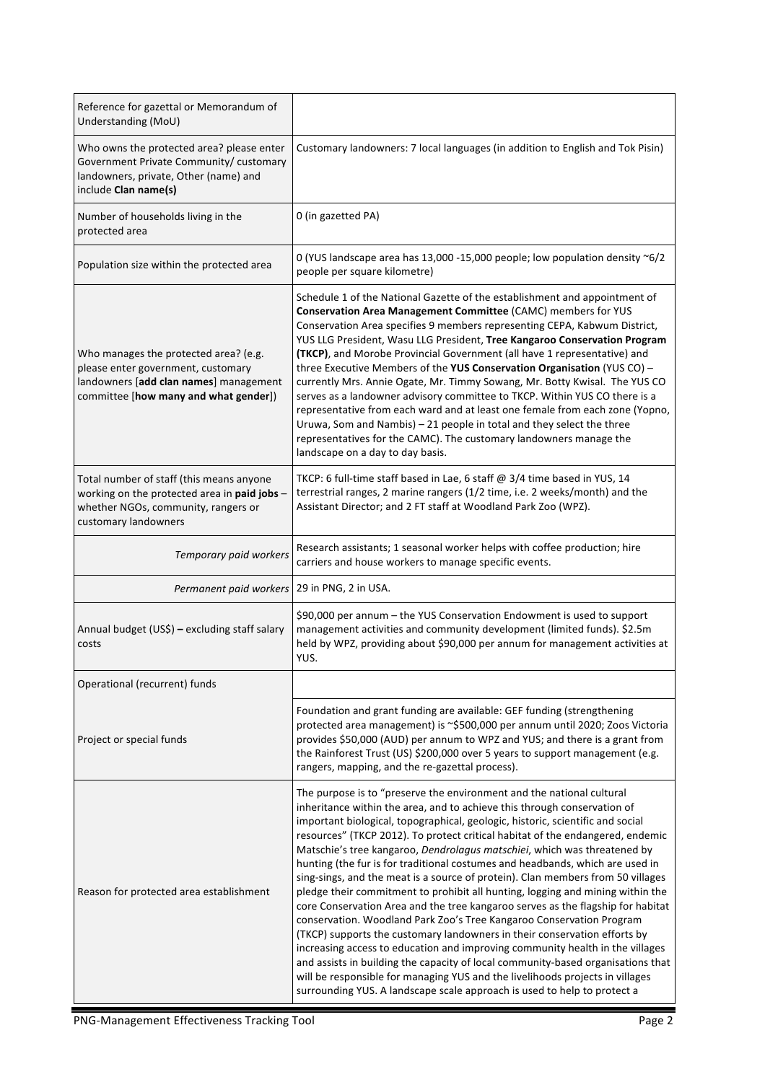| Reference for gazettal or Memorandum of<br>Understanding (MoU)                                                                                                 |                                                                                                                                                                                                                                                                                                                                                                                                                                                                                                                                                                                                                                                                                                                                                                                                                                                                                                                                                                                                                                                                                                                                                                                                                                   |
|----------------------------------------------------------------------------------------------------------------------------------------------------------------|-----------------------------------------------------------------------------------------------------------------------------------------------------------------------------------------------------------------------------------------------------------------------------------------------------------------------------------------------------------------------------------------------------------------------------------------------------------------------------------------------------------------------------------------------------------------------------------------------------------------------------------------------------------------------------------------------------------------------------------------------------------------------------------------------------------------------------------------------------------------------------------------------------------------------------------------------------------------------------------------------------------------------------------------------------------------------------------------------------------------------------------------------------------------------------------------------------------------------------------|
| Who owns the protected area? please enter<br>Government Private Community/ customary<br>landowners, private, Other (name) and<br>include Clan name(s)          | Customary landowners: 7 local languages (in addition to English and Tok Pisin)                                                                                                                                                                                                                                                                                                                                                                                                                                                                                                                                                                                                                                                                                                                                                                                                                                                                                                                                                                                                                                                                                                                                                    |
| Number of households living in the<br>protected area                                                                                                           | 0 (in gazetted PA)                                                                                                                                                                                                                                                                                                                                                                                                                                                                                                                                                                                                                                                                                                                                                                                                                                                                                                                                                                                                                                                                                                                                                                                                                |
| Population size within the protected area                                                                                                                      | 0 (YUS landscape area has 13,000 -15,000 people; low population density ~6/2<br>people per square kilometre)                                                                                                                                                                                                                                                                                                                                                                                                                                                                                                                                                                                                                                                                                                                                                                                                                                                                                                                                                                                                                                                                                                                      |
| Who manages the protected area? (e.g.<br>please enter government, customary<br>landowners [add clan names] management<br>committee [how many and what gender]) | Schedule 1 of the National Gazette of the establishment and appointment of<br>Conservation Area Management Committee (CAMC) members for YUS<br>Conservation Area specifies 9 members representing CEPA, Kabwum District,<br>YUS LLG President, Wasu LLG President, Tree Kangaroo Conservation Program<br>(TKCP), and Morobe Provincial Government (all have 1 representative) and<br>three Executive Members of the YUS Conservation Organisation (YUS CO) -<br>currently Mrs. Annie Ogate, Mr. Timmy Sowang, Mr. Botty Kwisal. The YUS CO<br>serves as a landowner advisory committee to TKCP. Within YUS CO there is a<br>representative from each ward and at least one female from each zone (Yopno,<br>Uruwa, Som and Nambis) - 21 people in total and they select the three<br>representatives for the CAMC). The customary landowners manage the<br>landscape on a day to day basis.                                                                                                                                                                                                                                                                                                                                       |
| Total number of staff (this means anyone<br>working on the protected area in paid jobs -<br>whether NGOs, community, rangers or<br>customary landowners        | TKCP: 6 full-time staff based in Lae, 6 staff @ 3/4 time based in YUS, 14<br>terrestrial ranges, 2 marine rangers (1/2 time, i.e. 2 weeks/month) and the<br>Assistant Director; and 2 FT staff at Woodland Park Zoo (WPZ).                                                                                                                                                                                                                                                                                                                                                                                                                                                                                                                                                                                                                                                                                                                                                                                                                                                                                                                                                                                                        |
| Temporary paid workers                                                                                                                                         | Research assistants; 1 seasonal worker helps with coffee production; hire<br>carriers and house workers to manage specific events.                                                                                                                                                                                                                                                                                                                                                                                                                                                                                                                                                                                                                                                                                                                                                                                                                                                                                                                                                                                                                                                                                                |
| Permanent paid workers                                                                                                                                         | 29 in PNG, 2 in USA.                                                                                                                                                                                                                                                                                                                                                                                                                                                                                                                                                                                                                                                                                                                                                                                                                                                                                                                                                                                                                                                                                                                                                                                                              |
| Annual budget (US\$) - excluding staff salary<br>costs                                                                                                         | \$90,000 per annum - the YUS Conservation Endowment is used to support<br>management activities and community development (limited funds). \$2.5m<br>held by WPZ, providing about \$90,000 per annum for management activities at<br>YUS.                                                                                                                                                                                                                                                                                                                                                                                                                                                                                                                                                                                                                                                                                                                                                                                                                                                                                                                                                                                         |
| Operational (recurrent) funds                                                                                                                                  |                                                                                                                                                                                                                                                                                                                                                                                                                                                                                                                                                                                                                                                                                                                                                                                                                                                                                                                                                                                                                                                                                                                                                                                                                                   |
| Project or special funds                                                                                                                                       | Foundation and grant funding are available: GEF funding (strengthening<br>protected area management) is ~\$500,000 per annum until 2020; Zoos Victoria<br>provides \$50,000 (AUD) per annum to WPZ and YUS; and there is a grant from<br>the Rainforest Trust (US) \$200,000 over 5 years to support management (e.g.<br>rangers, mapping, and the re-gazettal process).                                                                                                                                                                                                                                                                                                                                                                                                                                                                                                                                                                                                                                                                                                                                                                                                                                                          |
| Reason for protected area establishment                                                                                                                        | The purpose is to "preserve the environment and the national cultural<br>inheritance within the area, and to achieve this through conservation of<br>important biological, topographical, geologic, historic, scientific and social<br>resources" (TKCP 2012). To protect critical habitat of the endangered, endemic<br>Matschie's tree kangaroo, Dendrolagus matschiei, which was threatened by<br>hunting (the fur is for traditional costumes and headbands, which are used in<br>sing-sings, and the meat is a source of protein). Clan members from 50 villages<br>pledge their commitment to prohibit all hunting, logging and mining within the<br>core Conservation Area and the tree kangaroo serves as the flagship for habitat<br>conservation. Woodland Park Zoo's Tree Kangaroo Conservation Program<br>(TKCP) supports the customary landowners in their conservation efforts by<br>increasing access to education and improving community health in the villages<br>and assists in building the capacity of local community-based organisations that<br>will be responsible for managing YUS and the livelihoods projects in villages<br>surrounding YUS. A landscape scale approach is used to help to protect a |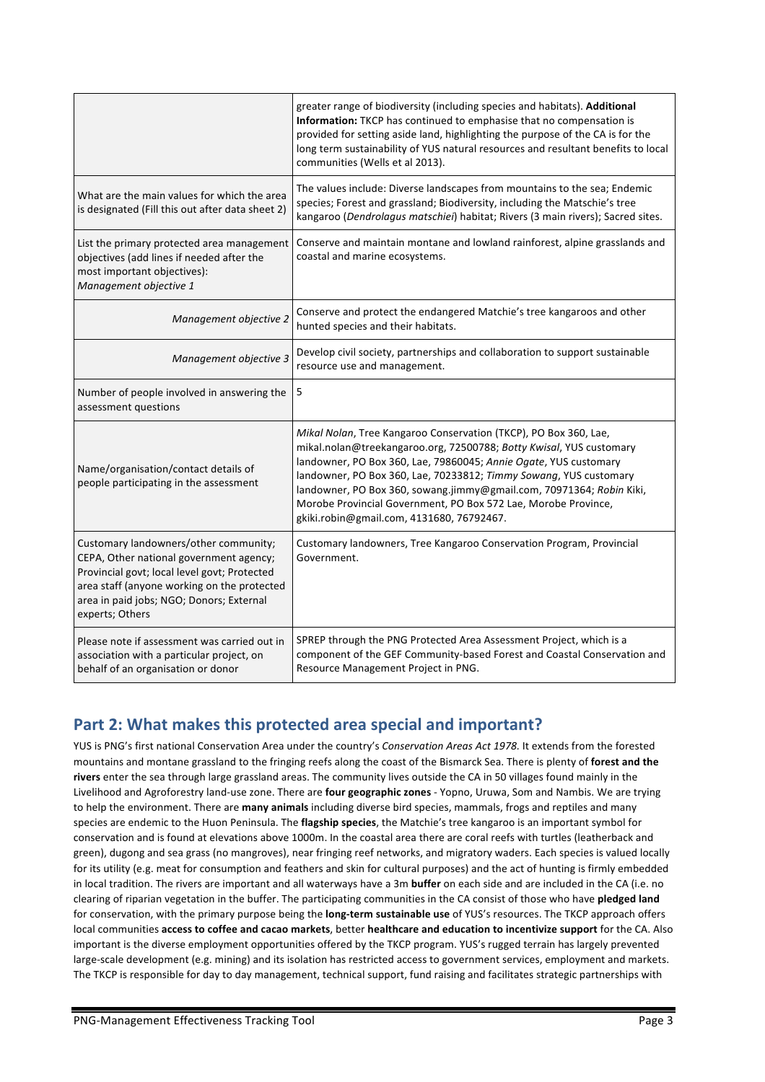|                                                                                                                                                                                                                                                | greater range of biodiversity (including species and habitats). Additional<br>Information: TKCP has continued to emphasise that no compensation is<br>provided for setting aside land, highlighting the purpose of the CA is for the<br>long term sustainability of YUS natural resources and resultant benefits to local<br>communities (Wells et al 2013).                                                                                                            |
|------------------------------------------------------------------------------------------------------------------------------------------------------------------------------------------------------------------------------------------------|-------------------------------------------------------------------------------------------------------------------------------------------------------------------------------------------------------------------------------------------------------------------------------------------------------------------------------------------------------------------------------------------------------------------------------------------------------------------------|
| What are the main values for which the area<br>is designated (Fill this out after data sheet 2)                                                                                                                                                | The values include: Diverse landscapes from mountains to the sea; Endemic<br>species; Forest and grassland; Biodiversity, including the Matschie's tree<br>kangaroo (Dendrolagus matschiei) habitat; Rivers (3 main rivers); Sacred sites.                                                                                                                                                                                                                              |
| List the primary protected area management<br>objectives (add lines if needed after the<br>most important objectives):<br>Management objective 1                                                                                               | Conserve and maintain montane and lowland rainforest, alpine grasslands and<br>coastal and marine ecosystems.                                                                                                                                                                                                                                                                                                                                                           |
| Management objective 2                                                                                                                                                                                                                         | Conserve and protect the endangered Matchie's tree kangaroos and other<br>hunted species and their habitats.                                                                                                                                                                                                                                                                                                                                                            |
| Management objective 3                                                                                                                                                                                                                         | Develop civil society, partnerships and collaboration to support sustainable<br>resource use and management.                                                                                                                                                                                                                                                                                                                                                            |
| Number of people involved in answering the<br>assessment questions                                                                                                                                                                             | 5                                                                                                                                                                                                                                                                                                                                                                                                                                                                       |
| Name/organisation/contact details of<br>people participating in the assessment                                                                                                                                                                 | Mikal Nolan, Tree Kangaroo Conservation (TKCP), PO Box 360, Lae,<br>mikal.nolan@treekangaroo.org, 72500788; Botty Kwisal, YUS customary<br>landowner, PO Box 360, Lae, 79860045; Annie Ogate, YUS customary<br>landowner, PO Box 360, Lae, 70233812; Timmy Sowang, YUS customary<br>landowner, PO Box 360, sowang.jimmy@gmail.com, 70971364; Robin Kiki,<br>Morobe Provincial Government, PO Box 572 Lae, Morobe Province,<br>gkiki.robin@gmail.com, 4131680, 76792467. |
| Customary landowners/other community;<br>CEPA, Other national government agency;<br>Provincial govt; local level govt; Protected<br>area staff (anyone working on the protected<br>area in paid jobs; NGO; Donors; External<br>experts; Others | Customary landowners, Tree Kangaroo Conservation Program, Provincial<br>Government.                                                                                                                                                                                                                                                                                                                                                                                     |
| Please note if assessment was carried out in<br>association with a particular project, on<br>behalf of an organisation or donor                                                                                                                | SPREP through the PNG Protected Area Assessment Project, which is a<br>component of the GEF Community-based Forest and Coastal Conservation and<br>Resource Management Project in PNG.                                                                                                                                                                                                                                                                                  |

## Part 2: What makes this protected area special and important?

YUS is PNG's first national Conservation Area under the country's *Conservation Areas Act 1978*. It extends from the forested mountains and montane grassland to the fringing reefs along the coast of the Bismarck Sea. There is plenty of forest and the rivers enter the sea through large grassland areas. The community lives outside the CA in 50 villages found mainly in the Livelihood and Agroforestry land-use zone. There are **four geographic zones** - Yopno, Uruwa, Som and Nambis. We are trying to help the environment. There are many animals including diverse bird species, mammals, frogs and reptiles and many species are endemic to the Huon Peninsula. The *flagship species*, the Matchie's tree kangaroo is an important symbol for conservation and is found at elevations above 1000m. In the coastal area there are coral reefs with turtles (leatherback and green), dugong and sea grass (no mangroves), near fringing reef networks, and migratory waders. Each species is valued locally for its utility (e.g. meat for consumption and feathers and skin for cultural purposes) and the act of hunting is firmly embedded in local tradition. The rivers are important and all waterways have a 3m **buffer** on each side and are included in the CA (i.e. no clearing of riparian vegetation in the buffer. The participating communities in the CA consist of those who have pledged land for conservation, with the primary purpose being the **long-term sustainable use** of YUS's resources. The TKCP approach offers local communities access to coffee and cacao markets, better healthcare and education to incentivize support for the CA. Also important is the diverse employment opportunities offered by the TKCP program. YUS's rugged terrain has largely prevented large-scale development (e.g. mining) and its isolation has restricted access to government services, employment and markets. The TKCP is responsible for day to day management, technical support, fund raising and facilitates strategic partnerships with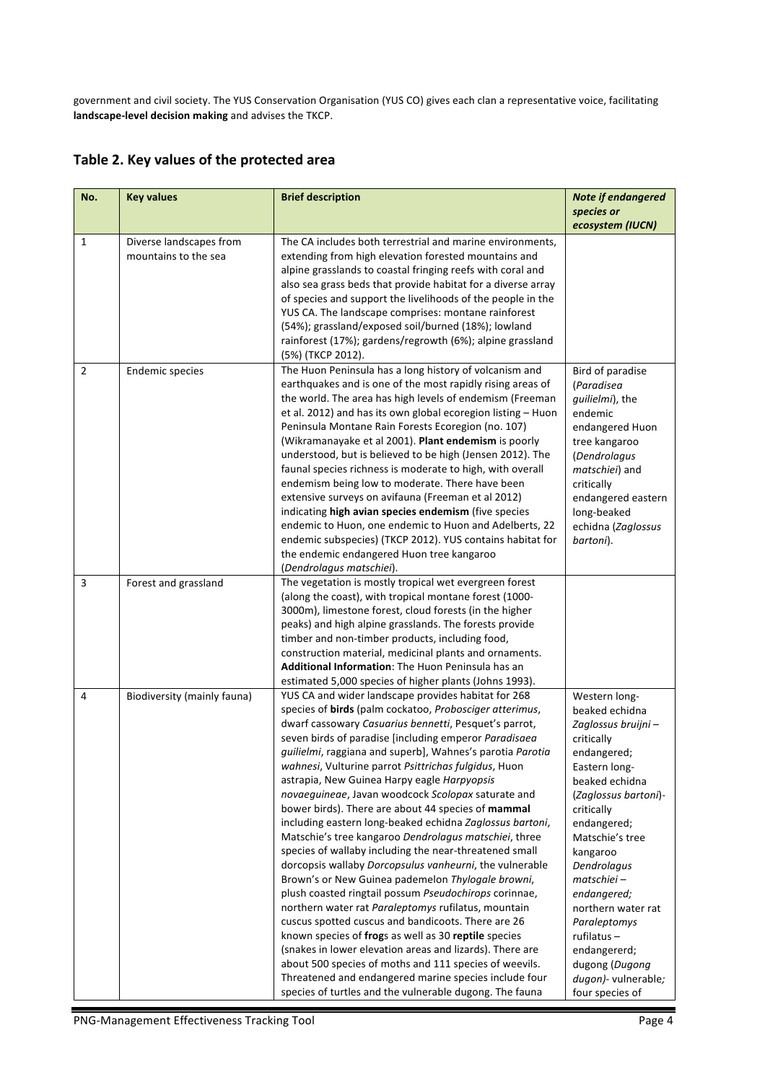government and civil society. The YUS Conservation Organisation (YUS CO) gives each clan a representative voice, facilitating landscape-level decision making and advises the TKCP.

|  | Table 2. Key values of the protected area |  |  |  |
|--|-------------------------------------------|--|--|--|
|--|-------------------------------------------|--|--|--|

| No.            | <b>Key values</b>                               | <b>Brief description</b>                                                                                                                                                                                                                                                                                                                                                                                                                                                                                                                                                                                                                                                                                                                                                                                                                                                                                                                                                                                                                                                                                                                                                                                                                                                                | <b>Note if endangered</b>                                                                                                                                                                                                                                                                                                                                                              |
|----------------|-------------------------------------------------|-----------------------------------------------------------------------------------------------------------------------------------------------------------------------------------------------------------------------------------------------------------------------------------------------------------------------------------------------------------------------------------------------------------------------------------------------------------------------------------------------------------------------------------------------------------------------------------------------------------------------------------------------------------------------------------------------------------------------------------------------------------------------------------------------------------------------------------------------------------------------------------------------------------------------------------------------------------------------------------------------------------------------------------------------------------------------------------------------------------------------------------------------------------------------------------------------------------------------------------------------------------------------------------------|----------------------------------------------------------------------------------------------------------------------------------------------------------------------------------------------------------------------------------------------------------------------------------------------------------------------------------------------------------------------------------------|
|                |                                                 |                                                                                                                                                                                                                                                                                                                                                                                                                                                                                                                                                                                                                                                                                                                                                                                                                                                                                                                                                                                                                                                                                                                                                                                                                                                                                         | species or                                                                                                                                                                                                                                                                                                                                                                             |
|                |                                                 |                                                                                                                                                                                                                                                                                                                                                                                                                                                                                                                                                                                                                                                                                                                                                                                                                                                                                                                                                                                                                                                                                                                                                                                                                                                                                         | ecosystem (IUCN)                                                                                                                                                                                                                                                                                                                                                                       |
| $\mathbf{1}$   | Diverse landscapes from<br>mountains to the sea | The CA includes both terrestrial and marine environments,<br>extending from high elevation forested mountains and<br>alpine grasslands to coastal fringing reefs with coral and<br>also sea grass beds that provide habitat for a diverse array<br>of species and support the livelihoods of the people in the<br>YUS CA. The landscape comprises: montane rainforest<br>(54%); grassland/exposed soil/burned (18%); lowland<br>rainforest (17%); gardens/regrowth (6%); alpine grassland<br>(5%) (TKCP 2012).                                                                                                                                                                                                                                                                                                                                                                                                                                                                                                                                                                                                                                                                                                                                                                          |                                                                                                                                                                                                                                                                                                                                                                                        |
| $\overline{2}$ | <b>Endemic species</b>                          | The Huon Peninsula has a long history of volcanism and<br>earthquakes and is one of the most rapidly rising areas of<br>the world. The area has high levels of endemism (Freeman<br>et al. 2012) and has its own global ecoregion listing - Huon<br>Peninsula Montane Rain Forests Ecoregion (no. 107)<br>(Wikramanayake et al 2001). Plant endemism is poorly<br>understood, but is believed to be high (Jensen 2012). The<br>faunal species richness is moderate to high, with overall<br>endemism being low to moderate. There have been<br>extensive surveys on avifauna (Freeman et al 2012)<br>indicating high avian species endemism (five species<br>endemic to Huon, one endemic to Huon and Adelberts, 22<br>endemic subspecies) (TKCP 2012). YUS contains habitat for<br>the endemic endangered Huon tree kangaroo<br>(Dendrolagus matschiei).                                                                                                                                                                                                                                                                                                                                                                                                                               | Bird of paradise<br>(Paradisea<br>guilielmi), the<br>endemic<br>endangered Huon<br>tree kangaroo<br>(Dendrolagus<br>matschiei) and<br>critically<br>endangered eastern<br>long-beaked<br>echidna (Zaglossus<br>bartoni).                                                                                                                                                               |
| 3              | Forest and grassland                            | The vegetation is mostly tropical wet evergreen forest<br>(along the coast), with tropical montane forest (1000-<br>3000m), limestone forest, cloud forests (in the higher<br>peaks) and high alpine grasslands. The forests provide<br>timber and non-timber products, including food,<br>construction material, medicinal plants and ornaments.<br>Additional Information: The Huon Peninsula has an<br>estimated 5,000 species of higher plants (Johns 1993).                                                                                                                                                                                                                                                                                                                                                                                                                                                                                                                                                                                                                                                                                                                                                                                                                        |                                                                                                                                                                                                                                                                                                                                                                                        |
| 4              | Biodiversity (mainly fauna)                     | YUS CA and wider landscape provides habitat for 268<br>species of birds (palm cockatoo, Probosciger atterimus,<br>dwarf cassowary Casuarius bennetti, Pesquet's parrot,<br>seven birds of paradise [including emperor Paradisaea<br>guilielmi, raggiana and superb], Wahnes's parotia Parotia<br>wahnesi, Vulturine parrot Psittrichas fulgidus, Huon<br>astrapia, New Guinea Harpy eagle Harpyopsis<br>novaeguineae, Javan woodcock Scolopax saturate and<br>bower birds). There are about 44 species of mammal<br>including eastern long-beaked echidna Zaglossus bartoni,<br>Matschie's tree kangaroo Dendrolagus matschiei, three<br>species of wallaby including the near-threatened small<br>dorcopsis wallaby Dorcopsulus vanheurni, the vulnerable<br>Brown's or New Guinea pademelon Thylogale browni,<br>plush coasted ringtail possum Pseudochirops corinnae,<br>northern water rat Paraleptomys rufilatus, mountain<br>cuscus spotted cuscus and bandicoots. There are 26<br>known species of frogs as well as 30 reptile species<br>(snakes in lower elevation areas and lizards). There are<br>about 500 species of moths and 111 species of weevils.<br>Threatened and endangered marine species include four<br>species of turtles and the vulnerable dugong. The fauna | Western long-<br>beaked echidna<br>Zaglossus bruijni -<br>critically<br>endangered;<br>Eastern long-<br>beaked echidna<br>(Zaglossus bartoni)-<br>critically<br>endangered;<br>Matschie's tree<br>kangaroo<br>Dendrolagus<br>matschiei-<br>endangered;<br>northern water rat<br>Paraleptomys<br>rufilatus-<br>endangererd;<br>dugong (Dugong<br>dugon)- vulnerable;<br>four species of |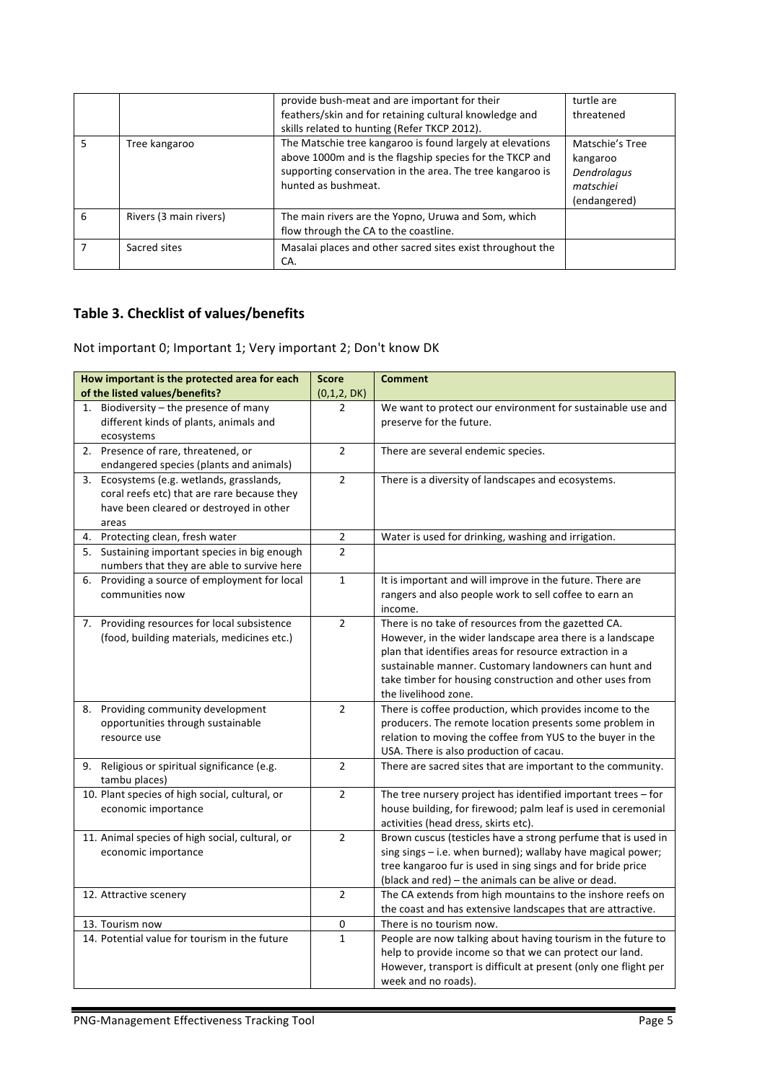|   |                        | provide bush-meat and are important for their<br>feathers/skin and for retaining cultural knowledge and<br>skills related to hunting (Refer TKCP 2012).                                                   | turtle are<br>threatened                                                |
|---|------------------------|-----------------------------------------------------------------------------------------------------------------------------------------------------------------------------------------------------------|-------------------------------------------------------------------------|
| 5 | Tree kangaroo          | The Matschie tree kangaroo is found largely at elevations<br>above 1000m and is the flagship species for the TKCP and<br>supporting conservation in the area. The tree kangaroo is<br>hunted as bushmeat. | Matschie's Tree<br>kangaroo<br>Dendrolagus<br>matschiei<br>(endangered) |
| 6 | Rivers (3 main rivers) | The main rivers are the Yopno, Uruwa and Som, which<br>flow through the CA to the coastline.                                                                                                              |                                                                         |
|   | Sacred sites           | Masalai places and other sacred sites exist throughout the<br>CA.                                                                                                                                         |                                                                         |

#### **Table 3. Checklist of values/benefits**

Not important 0; Important 1; Very important 2; Don't know DK

| How important is the protected area for each                                                                                                 | <b>Score</b>   | <b>Comment</b>                                                                                                                                                                                                                                                                                                           |
|----------------------------------------------------------------------------------------------------------------------------------------------|----------------|--------------------------------------------------------------------------------------------------------------------------------------------------------------------------------------------------------------------------------------------------------------------------------------------------------------------------|
| of the listed values/benefits?                                                                                                               | (0,1,2, DK)    |                                                                                                                                                                                                                                                                                                                          |
| Biodiversity - the presence of many<br>1.<br>different kinds of plants, animals and<br>ecosystems                                            | $\overline{2}$ | We want to protect our environment for sustainable use and<br>preserve for the future.                                                                                                                                                                                                                                   |
| 2. Presence of rare, threatened, or<br>endangered species (plants and animals)                                                               | $\overline{2}$ | There are several endemic species.                                                                                                                                                                                                                                                                                       |
| 3. Ecosystems (e.g. wetlands, grasslands,<br>coral reefs etc) that are rare because they<br>have been cleared or destroyed in other<br>areas | $\overline{2}$ | There is a diversity of landscapes and ecosystems.                                                                                                                                                                                                                                                                       |
| 4. Protecting clean, fresh water                                                                                                             | $\mathbf 2$    | Water is used for drinking, washing and irrigation.                                                                                                                                                                                                                                                                      |
| 5. Sustaining important species in big enough<br>numbers that they are able to survive here                                                  | $\overline{2}$ |                                                                                                                                                                                                                                                                                                                          |
| Providing a source of employment for local<br>6.<br>communities now                                                                          | $\mathbf 1$    | It is important and will improve in the future. There are<br>rangers and also people work to sell coffee to earn an<br>income.                                                                                                                                                                                           |
| 7. Providing resources for local subsistence<br>(food, building materials, medicines etc.)                                                   | $\overline{2}$ | There is no take of resources from the gazetted CA.<br>However, in the wider landscape area there is a landscape<br>plan that identifies areas for resource extraction in a<br>sustainable manner. Customary landowners can hunt and<br>take timber for housing construction and other uses from<br>the livelihood zone. |
| 8. Providing community development<br>opportunities through sustainable<br>resource use                                                      | $\overline{2}$ | There is coffee production, which provides income to the<br>producers. The remote location presents some problem in<br>relation to moving the coffee from YUS to the buyer in the<br>USA. There is also production of cacau.                                                                                             |
| 9. Religious or spiritual significance (e.g.<br>tambu places)                                                                                | $\overline{2}$ | There are sacred sites that are important to the community.                                                                                                                                                                                                                                                              |
| 10. Plant species of high social, cultural, or<br>economic importance                                                                        | $\overline{2}$ | The tree nursery project has identified important trees - for<br>house building, for firewood; palm leaf is used in ceremonial<br>activities (head dress, skirts etc).                                                                                                                                                   |
| 11. Animal species of high social, cultural, or<br>economic importance                                                                       | $\overline{2}$ | Brown cuscus (testicles have a strong perfume that is used in<br>sing sings - i.e. when burned); wallaby have magical power;<br>tree kangaroo fur is used in sing sings and for bride price<br>(black and red) - the animals can be alive or dead.                                                                       |
| 12. Attractive scenery                                                                                                                       | $\overline{2}$ | The CA extends from high mountains to the inshore reefs on<br>the coast and has extensive landscapes that are attractive.                                                                                                                                                                                                |
| 13. Tourism now                                                                                                                              | 0              | There is no tourism now.                                                                                                                                                                                                                                                                                                 |
| 14. Potential value for tourism in the future                                                                                                | $\mathbf{1}$   | People are now talking about having tourism in the future to<br>help to provide income so that we can protect our land.<br>However, transport is difficult at present (only one flight per<br>week and no roads).                                                                                                        |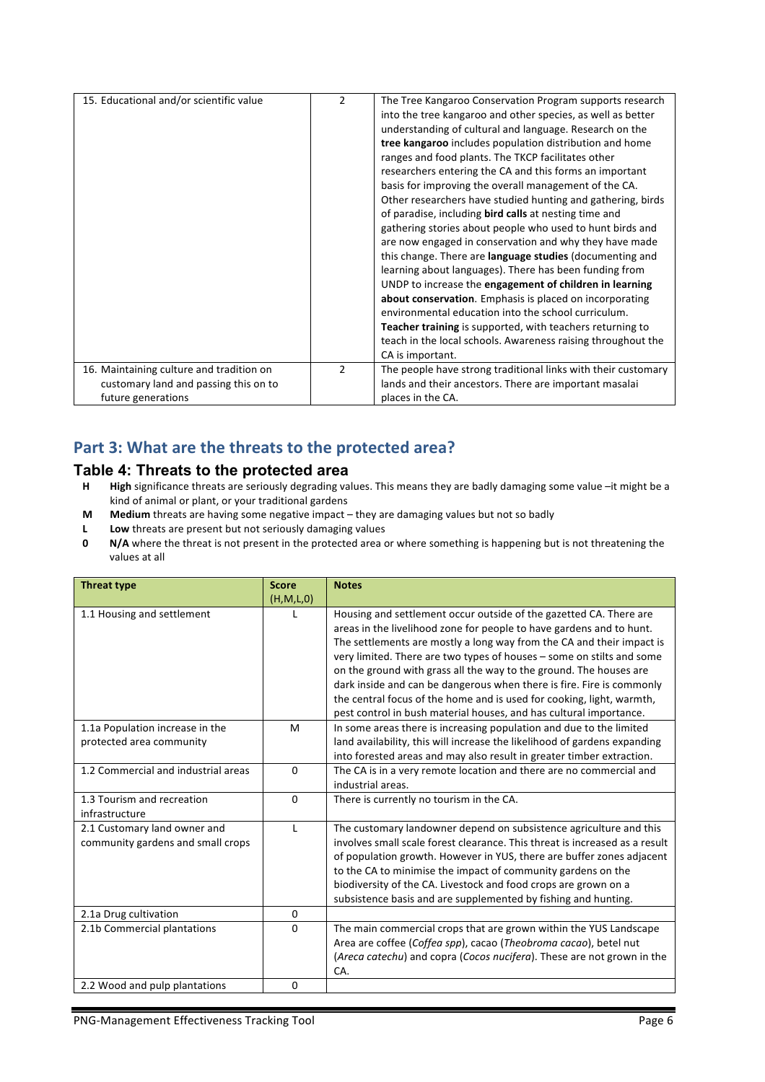| 15. Educational and/or scientific value  | $\overline{2}$ | The Tree Kangaroo Conservation Program supports research      |
|------------------------------------------|----------------|---------------------------------------------------------------|
|                                          |                | into the tree kangaroo and other species, as well as better   |
|                                          |                | understanding of cultural and language. Research on the       |
|                                          |                | tree kangaroo includes population distribution and home       |
|                                          |                | ranges and food plants. The TKCP facilitates other            |
|                                          |                | researchers entering the CA and this forms an important       |
|                                          |                | basis for improving the overall management of the CA.         |
|                                          |                | Other researchers have studied hunting and gathering, birds   |
|                                          |                | of paradise, including <b>bird calls</b> at nesting time and  |
|                                          |                | gathering stories about people who used to hunt birds and     |
|                                          |                | are now engaged in conservation and why they have made        |
|                                          |                | this change. There are language studies (documenting and      |
|                                          |                | learning about languages). There has been funding from        |
|                                          |                | UNDP to increase the engagement of children in learning       |
|                                          |                | about conservation. Emphasis is placed on incorporating       |
|                                          |                | environmental education into the school curriculum.           |
|                                          |                | Teacher training is supported, with teachers returning to     |
|                                          |                | teach in the local schools. Awareness raising throughout the  |
|                                          |                | CA is important.                                              |
| 16. Maintaining culture and tradition on | 2              | The people have strong traditional links with their customary |
| customary land and passing this on to    |                | lands and their ancestors. There are important masalai        |
| future generations                       |                | places in the CA.                                             |

#### Part 3: What are the threats to the protected area?

#### **Table 4: Threats to the protected area**

- **H High** significance threats are seriously degrading values. This means they are badly damaging some value –it might be a kind of animal or plant, or your traditional gardens
- **M** Medium threats are having some negative impact they are damaging values but not so badly
- **L** Low threats are present but not seriously damaging values
- **0 N/A** where the threat is not present in the protected area or where something is happening but is not threatening the values at all

| <b>Threat type</b>                  | <b>Score</b> | <b>Notes</b>                                                                |
|-------------------------------------|--------------|-----------------------------------------------------------------------------|
|                                     | (H, M, L, 0) |                                                                             |
| 1.1 Housing and settlement          |              | Housing and settlement occur outside of the gazetted CA. There are          |
|                                     |              | areas in the livelihood zone for people to have gardens and to hunt.        |
|                                     |              | The settlements are mostly a long way from the CA and their impact is       |
|                                     |              | very limited. There are two types of houses - some on stilts and some       |
|                                     |              | on the ground with grass all the way to the ground. The houses are          |
|                                     |              | dark inside and can be dangerous when there is fire. Fire is commonly       |
|                                     |              | the central focus of the home and is used for cooking, light, warmth,       |
|                                     |              | pest control in bush material houses, and has cultural importance.          |
| 1.1a Population increase in the     | M            | In some areas there is increasing population and due to the limited         |
| protected area community            |              | land availability, this will increase the likelihood of gardens expanding   |
|                                     |              | into forested areas and may also result in greater timber extraction.       |
| 1.2 Commercial and industrial areas | $\mathbf{0}$ | The CA is in a very remote location and there are no commercial and         |
|                                     |              | industrial areas.                                                           |
| 1.3 Tourism and recreation          | $\Omega$     | There is currently no tourism in the CA.                                    |
| infrastructure                      |              |                                                                             |
| 2.1 Customary land owner and        | $\mathbf{I}$ | The customary landowner depend on subsistence agriculture and this          |
| community gardens and small crops   |              | involves small scale forest clearance. This threat is increased as a result |
|                                     |              | of population growth. However in YUS, there are buffer zones adjacent       |
|                                     |              | to the CA to minimise the impact of community gardens on the                |
|                                     |              | biodiversity of the CA. Livestock and food crops are grown on a             |
|                                     |              | subsistence basis and are supplemented by fishing and hunting.              |
| 2.1a Drug cultivation               | 0            |                                                                             |
| 2.1b Commercial plantations         | $\Omega$     | The main commercial crops that are grown within the YUS Landscape           |
|                                     |              | Area are coffee (Coffea spp), cacao (Theobroma cacao), betel nut            |
|                                     |              | (Areca catechu) and copra (Cocos nucifera). These are not grown in the      |
|                                     |              | CA.                                                                         |
| 2.2 Wood and pulp plantations       | 0            |                                                                             |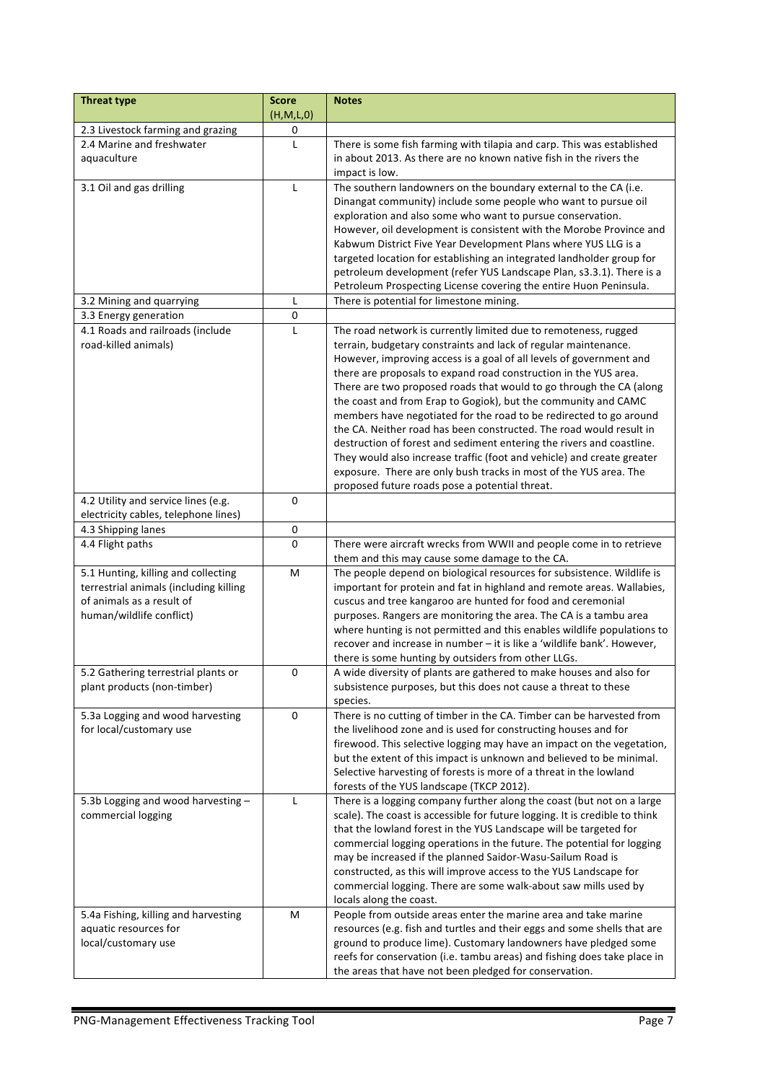| <b>Threat type</b>                                                                                                                     | <b>Score</b><br>(H, M, L, 0) | <b>Notes</b>                                                                                                                                                                                                                                                                                                                                                                                                                                                                                                                                                                                                                                                                                                                                                                                                                                  |
|----------------------------------------------------------------------------------------------------------------------------------------|------------------------------|-----------------------------------------------------------------------------------------------------------------------------------------------------------------------------------------------------------------------------------------------------------------------------------------------------------------------------------------------------------------------------------------------------------------------------------------------------------------------------------------------------------------------------------------------------------------------------------------------------------------------------------------------------------------------------------------------------------------------------------------------------------------------------------------------------------------------------------------------|
| 2.3 Livestock farming and grazing                                                                                                      | 0                            |                                                                                                                                                                                                                                                                                                                                                                                                                                                                                                                                                                                                                                                                                                                                                                                                                                               |
| 2.4 Marine and freshwater<br>aquaculture                                                                                               | L                            | There is some fish farming with tilapia and carp. This was established<br>in about 2013. As there are no known native fish in the rivers the<br>impact is low.                                                                                                                                                                                                                                                                                                                                                                                                                                                                                                                                                                                                                                                                                |
| 3.1 Oil and gas drilling                                                                                                               | $\mathsf{L}$                 | The southern landowners on the boundary external to the CA (i.e.<br>Dinangat community) include some people who want to pursue oil<br>exploration and also some who want to pursue conservation.<br>However, oil development is consistent with the Morobe Province and<br>Kabwum District Five Year Development Plans where YUS LLG is a<br>targeted location for establishing an integrated landholder group for<br>petroleum development (refer YUS Landscape Plan, s3.3.1). There is a<br>Petroleum Prospecting License covering the entire Huon Peninsula.                                                                                                                                                                                                                                                                               |
| 3.2 Mining and quarrying                                                                                                               | L                            | There is potential for limestone mining.                                                                                                                                                                                                                                                                                                                                                                                                                                                                                                                                                                                                                                                                                                                                                                                                      |
| 3.3 Energy generation                                                                                                                  | 0                            |                                                                                                                                                                                                                                                                                                                                                                                                                                                                                                                                                                                                                                                                                                                                                                                                                                               |
| 4.1 Roads and railroads (include<br>road-killed animals)                                                                               | L                            | The road network is currently limited due to remoteness, rugged<br>terrain, budgetary constraints and lack of regular maintenance.<br>However, improving access is a goal of all levels of government and<br>there are proposals to expand road construction in the YUS area.<br>There are two proposed roads that would to go through the CA (along<br>the coast and from Erap to Gogiok), but the community and CAMC<br>members have negotiated for the road to be redirected to go around<br>the CA. Neither road has been constructed. The road would result in<br>destruction of forest and sediment entering the rivers and coastline.<br>They would also increase traffic (foot and vehicle) and create greater<br>exposure. There are only bush tracks in most of the YUS area. The<br>proposed future roads pose a potential threat. |
| 4.2 Utility and service lines (e.g.                                                                                                    | $\pmb{0}$                    |                                                                                                                                                                                                                                                                                                                                                                                                                                                                                                                                                                                                                                                                                                                                                                                                                                               |
| electricity cables, telephone lines)                                                                                                   |                              |                                                                                                                                                                                                                                                                                                                                                                                                                                                                                                                                                                                                                                                                                                                                                                                                                                               |
| 4.3 Shipping lanes                                                                                                                     | $\pmb{0}$                    |                                                                                                                                                                                                                                                                                                                                                                                                                                                                                                                                                                                                                                                                                                                                                                                                                                               |
| 4.4 Flight paths                                                                                                                       | $\mathbf{0}$                 | There were aircraft wrecks from WWII and people come in to retrieve<br>them and this may cause some damage to the CA.                                                                                                                                                                                                                                                                                                                                                                                                                                                                                                                                                                                                                                                                                                                         |
| 5.1 Hunting, killing and collecting<br>terrestrial animals (including killing<br>of animals as a result of<br>human/wildlife conflict) | M                            | The people depend on biological resources for subsistence. Wildlife is<br>important for protein and fat in highland and remote areas. Wallabies,<br>cuscus and tree kangaroo are hunted for food and ceremonial<br>purposes. Rangers are monitoring the area. The CA is a tambu area<br>where hunting is not permitted and this enables wildlife populations to<br>recover and increase in number - it is like a 'wildlife bank'. However,<br>there is some hunting by outsiders from other LLGs.                                                                                                                                                                                                                                                                                                                                             |
| 5.2 Gathering terrestrial plants or<br>plant products (non-timber)                                                                     | 0                            | A wide diversity of plants are gathered to make houses and also for<br>subsistence purposes, but this does not cause a threat to these<br>species.                                                                                                                                                                                                                                                                                                                                                                                                                                                                                                                                                                                                                                                                                            |
| 5.3a Logging and wood harvesting<br>for local/customary use                                                                            | 0                            | There is no cutting of timber in the CA. Timber can be harvested from<br>the livelihood zone and is used for constructing houses and for<br>firewood. This selective logging may have an impact on the vegetation,<br>but the extent of this impact is unknown and believed to be minimal.<br>Selective harvesting of forests is more of a threat in the lowland<br>forests of the YUS landscape (TKCP 2012).                                                                                                                                                                                                                                                                                                                                                                                                                                 |
| 5.3b Logging and wood harvesting -<br>commercial logging                                                                               | L                            | There is a logging company further along the coast (but not on a large<br>scale). The coast is accessible for future logging. It is credible to think<br>that the lowland forest in the YUS Landscape will be targeted for<br>commercial logging operations in the future. The potential for logging<br>may be increased if the planned Saidor-Wasu-Sailum Road is<br>constructed, as this will improve access to the YUS Landscape for<br>commercial logging. There are some walk-about saw mills used by<br>locals along the coast.                                                                                                                                                                                                                                                                                                         |
| 5.4a Fishing, killing and harvesting<br>aquatic resources for<br>local/customary use                                                   | M                            | People from outside areas enter the marine area and take marine<br>resources (e.g. fish and turtles and their eggs and some shells that are<br>ground to produce lime). Customary landowners have pledged some<br>reefs for conservation (i.e. tambu areas) and fishing does take place in<br>the areas that have not been pledged for conservation.                                                                                                                                                                                                                                                                                                                                                                                                                                                                                          |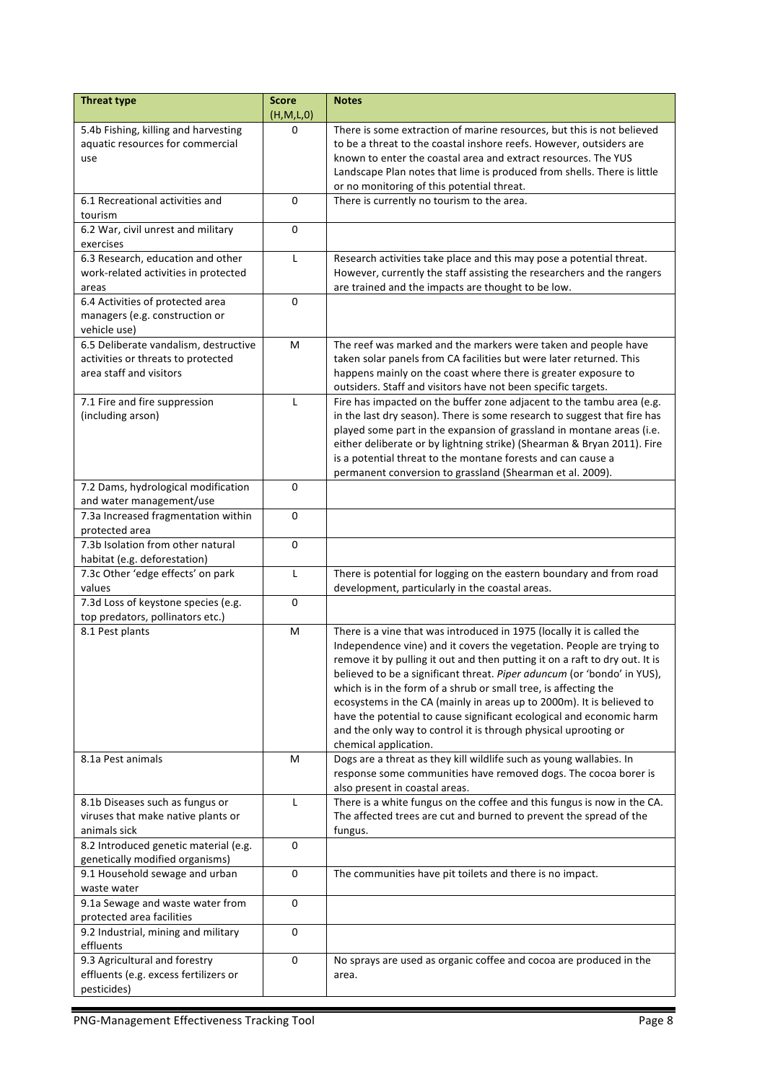| <b>Threat type</b>                                                      | <b>Score</b><br>(H,M,L,0) | <b>Notes</b>                                                                                 |
|-------------------------------------------------------------------------|---------------------------|----------------------------------------------------------------------------------------------|
| 5.4b Fishing, killing and harvesting                                    | $\Omega$                  | There is some extraction of marine resources, but this is not believed                       |
| aquatic resources for commercial                                        |                           | to be a threat to the coastal inshore reefs. However, outsiders are                          |
| use                                                                     |                           | known to enter the coastal area and extract resources. The YUS                               |
|                                                                         |                           | Landscape Plan notes that lime is produced from shells. There is little                      |
| 6.1 Recreational activities and                                         | 0                         | or no monitoring of this potential threat.<br>There is currently no tourism to the area.     |
| tourism                                                                 |                           |                                                                                              |
| 6.2 War, civil unrest and military                                      | 0                         |                                                                                              |
| exercises                                                               |                           |                                                                                              |
| 6.3 Research, education and other                                       | $\mathsf{L}$              | Research activities take place and this may pose a potential threat.                         |
| work-related activities in protected                                    |                           | However, currently the staff assisting the researchers and the rangers                       |
| areas                                                                   |                           | are trained and the impacts are thought to be low.                                           |
| 6.4 Activities of protected area                                        | 0                         |                                                                                              |
| managers (e.g. construction or                                          |                           |                                                                                              |
| vehicle use)<br>6.5 Deliberate vandalism, destructive                   | M                         | The reef was marked and the markers were taken and people have                               |
| activities or threats to protected                                      |                           | taken solar panels from CA facilities but were later returned. This                          |
| area staff and visitors                                                 |                           | happens mainly on the coast where there is greater exposure to                               |
|                                                                         |                           | outsiders. Staff and visitors have not been specific targets.                                |
| 7.1 Fire and fire suppression                                           | L                         | Fire has impacted on the buffer zone adjacent to the tambu area (e.g.                        |
| (including arson)                                                       |                           | in the last dry season). There is some research to suggest that fire has                     |
|                                                                         |                           | played some part in the expansion of grassland in montane areas (i.e.                        |
|                                                                         |                           | either deliberate or by lightning strike) (Shearman & Bryan 2011). Fire                      |
|                                                                         |                           | is a potential threat to the montane forests and can cause a                                 |
|                                                                         |                           | permanent conversion to grassland (Shearman et al. 2009).                                    |
| 7.2 Dams, hydrological modification<br>and water management/use         | 0                         |                                                                                              |
| 7.3a Increased fragmentation within                                     | $\mathbf 0$               |                                                                                              |
| protected area                                                          |                           |                                                                                              |
| 7.3b Isolation from other natural                                       | $\Omega$                  |                                                                                              |
| habitat (e.g. deforestation)                                            |                           |                                                                                              |
| 7.3c Other 'edge effects' on park                                       | L                         | There is potential for logging on the eastern boundary and from road                         |
| values                                                                  |                           | development, particularly in the coastal areas.                                              |
| 7.3d Loss of keystone species (e.g.<br>top predators, pollinators etc.) | 0                         |                                                                                              |
| 8.1 Pest plants                                                         | M                         | There is a vine that was introduced in 1975 (locally it is called the                        |
|                                                                         |                           | Independence vine) and it covers the vegetation. People are trying to                        |
|                                                                         |                           | remove it by pulling it out and then putting it on a raft to dry out. It is                  |
|                                                                         |                           | believed to be a significant threat. Piper aduncum (or 'bondo' in YUS),                      |
|                                                                         |                           | which is in the form of a shrub or small tree, is affecting the                              |
|                                                                         |                           | ecosystems in the CA (mainly in areas up to 2000m). It is believed to                        |
|                                                                         |                           | have the potential to cause significant ecological and economic harm                         |
|                                                                         |                           | and the only way to control it is through physical uprooting or                              |
| 8.1a Pest animals                                                       | М                         | chemical application.<br>Dogs are a threat as they kill wildlife such as young wallabies. In |
|                                                                         |                           | response some communities have removed dogs. The cocoa borer is                              |
|                                                                         |                           | also present in coastal areas.                                                               |
| 8.1b Diseases such as fungus or                                         | L                         | There is a white fungus on the coffee and this fungus is now in the CA.                      |
| viruses that make native plants or                                      |                           | The affected trees are cut and burned to prevent the spread of the                           |
| animals sick                                                            |                           | fungus.                                                                                      |
| 8.2 Introduced genetic material (e.g.                                   | 0                         |                                                                                              |
| genetically modified organisms)                                         |                           |                                                                                              |
| 9.1 Household sewage and urban<br>waste water                           | 0                         | The communities have pit toilets and there is no impact.                                     |
| 9.1a Sewage and waste water from                                        | 0                         |                                                                                              |
| protected area facilities                                               |                           |                                                                                              |
| 9.2 Industrial, mining and military                                     | 0                         |                                                                                              |
| effluents                                                               |                           |                                                                                              |
| 9.3 Agricultural and forestry                                           | 0                         | No sprays are used as organic coffee and cocoa are produced in the                           |
| effluents (e.g. excess fertilizers or                                   |                           | area.                                                                                        |
| pesticides)                                                             |                           |                                                                                              |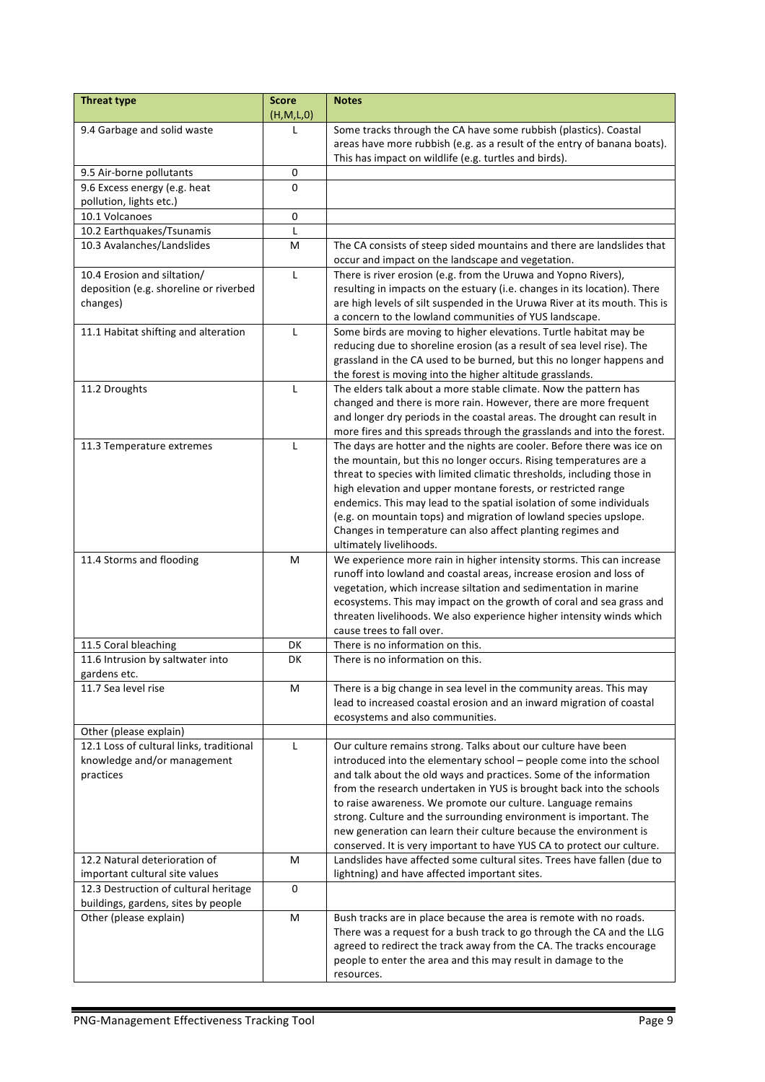| <b>Threat type</b>                               | <b>Score</b><br>(H,M,L,0) | <b>Notes</b>                                                                                                                |
|--------------------------------------------------|---------------------------|-----------------------------------------------------------------------------------------------------------------------------|
| 9.4 Garbage and solid waste                      | L                         | Some tracks through the CA have some rubbish (plastics). Coastal                                                            |
|                                                  |                           | areas have more rubbish (e.g. as a result of the entry of banana boats).                                                    |
|                                                  |                           | This has impact on wildlife (e.g. turtles and birds).                                                                       |
| 9.5 Air-borne pollutants                         | 0                         |                                                                                                                             |
| 9.6 Excess energy (e.g. heat                     | 0                         |                                                                                                                             |
| pollution, lights etc.)                          |                           |                                                                                                                             |
| 10.1 Volcanoes                                   | $\pmb{0}$                 |                                                                                                                             |
| 10.2 Earthquakes/Tsunamis                        | L                         |                                                                                                                             |
| 10.3 Avalanches/Landslides                       | M                         | The CA consists of steep sided mountains and there are landslides that<br>occur and impact on the landscape and vegetation. |
| 10.4 Erosion and siltation/                      | L                         | There is river erosion (e.g. from the Uruwa and Yopno Rivers),                                                              |
| deposition (e.g. shoreline or riverbed           |                           | resulting in impacts on the estuary (i.e. changes in its location). There                                                   |
| changes)                                         |                           | are high levels of silt suspended in the Uruwa River at its mouth. This is                                                  |
|                                                  |                           | a concern to the lowland communities of YUS landscape.                                                                      |
| 11.1 Habitat shifting and alteration             | L                         | Some birds are moving to higher elevations. Turtle habitat may be                                                           |
|                                                  |                           | reducing due to shoreline erosion (as a result of sea level rise). The                                                      |
|                                                  |                           | grassland in the CA used to be burned, but this no longer happens and                                                       |
|                                                  |                           | the forest is moving into the higher altitude grasslands.                                                                   |
| 11.2 Droughts                                    | $\mathsf{L}$              | The elders talk about a more stable climate. Now the pattern has                                                            |
|                                                  |                           | changed and there is more rain. However, there are more frequent                                                            |
|                                                  |                           | and longer dry periods in the coastal areas. The drought can result in                                                      |
|                                                  |                           | more fires and this spreads through the grasslands and into the forest.                                                     |
| 11.3 Temperature extremes                        | $\mathsf{L}$              | The days are hotter and the nights are cooler. Before there was ice on                                                      |
|                                                  |                           | the mountain, but this no longer occurs. Rising temperatures are a                                                          |
|                                                  |                           | threat to species with limited climatic thresholds, including those in                                                      |
|                                                  |                           | high elevation and upper montane forests, or restricted range                                                               |
|                                                  |                           | endemics. This may lead to the spatial isolation of some individuals                                                        |
|                                                  |                           | (e.g. on mountain tops) and migration of lowland species upslope.                                                           |
|                                                  |                           | Changes in temperature can also affect planting regimes and                                                                 |
|                                                  |                           | ultimately livelihoods.                                                                                                     |
| 11.4 Storms and flooding                         | M                         | We experience more rain in higher intensity storms. This can increase                                                       |
|                                                  |                           | runoff into lowland and coastal areas, increase erosion and loss of                                                         |
|                                                  |                           | vegetation, which increase siltation and sedimentation in marine                                                            |
|                                                  |                           | ecosystems. This may impact on the growth of coral and sea grass and                                                        |
|                                                  |                           | threaten livelihoods. We also experience higher intensity winds which                                                       |
|                                                  |                           | cause trees to fall over.                                                                                                   |
| 11.5 Coral bleaching                             | DK                        | There is no information on this.                                                                                            |
| 11.6 Intrusion by saltwater into<br>gardens etc. | DK                        | There is no information on this.                                                                                            |
| 11.7 Sea level rise                              | M                         | There is a big change in sea level in the community areas. This may                                                         |
|                                                  |                           | lead to increased coastal erosion and an inward migration of coastal                                                        |
|                                                  |                           | ecosystems and also communities.                                                                                            |
| Other (please explain)                           |                           |                                                                                                                             |
| 12.1 Loss of cultural links, traditional         | L                         | Our culture remains strong. Talks about our culture have been                                                               |
| knowledge and/or management                      |                           | introduced into the elementary school - people come into the school                                                         |
| practices                                        |                           | and talk about the old ways and practices. Some of the information                                                          |
|                                                  |                           | from the research undertaken in YUS is brought back into the schools                                                        |
|                                                  |                           | to raise awareness. We promote our culture. Language remains                                                                |
|                                                  |                           | strong. Culture and the surrounding environment is important. The                                                           |
|                                                  |                           | new generation can learn their culture because the environment is                                                           |
|                                                  |                           | conserved. It is very important to have YUS CA to protect our culture.                                                      |
| 12.2 Natural deterioration of                    | M                         | Landslides have affected some cultural sites. Trees have fallen (due to                                                     |
| important cultural site values                   |                           | lightning) and have affected important sites.                                                                               |
| 12.3 Destruction of cultural heritage            | $\mathbf 0$               |                                                                                                                             |
| buildings, gardens, sites by people              |                           |                                                                                                                             |
| Other (please explain)                           | M                         | Bush tracks are in place because the area is remote with no roads.                                                          |
|                                                  |                           | There was a request for a bush track to go through the CA and the LLG                                                       |
|                                                  |                           | agreed to redirect the track away from the CA. The tracks encourage                                                         |
|                                                  |                           | people to enter the area and this may result in damage to the                                                               |
|                                                  |                           | resources.                                                                                                                  |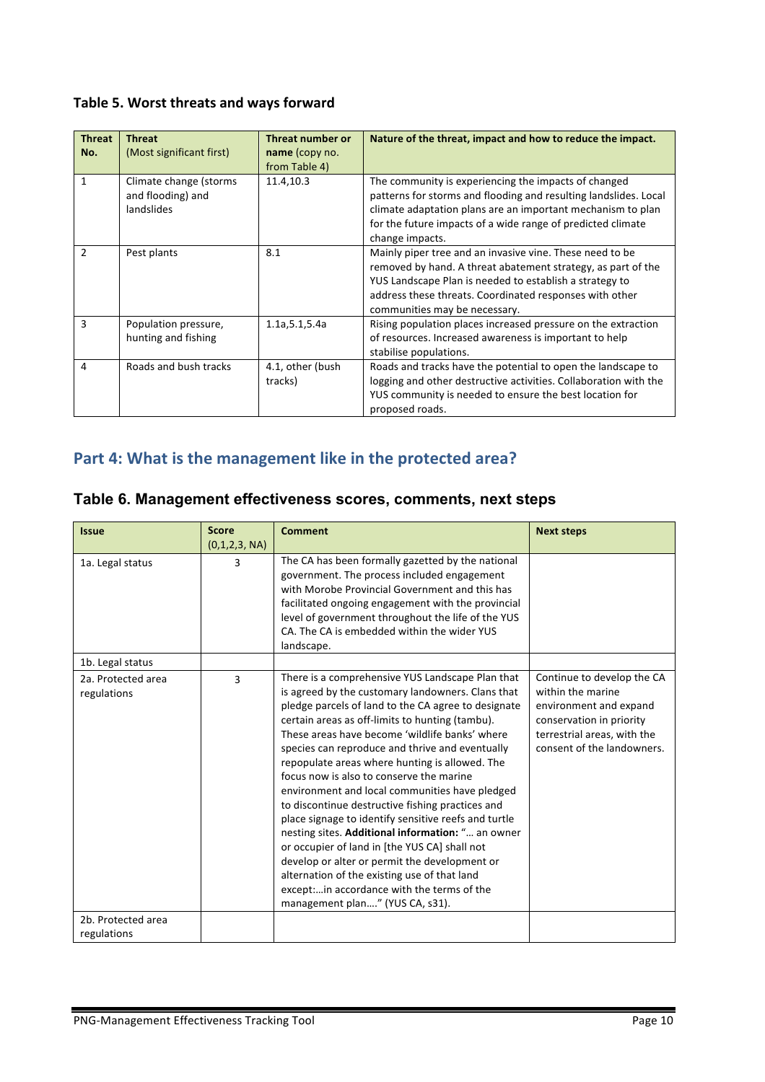#### Table 5. Worst threats and ways forward

| <b>Threat</b><br>No. | <b>Threat</b><br>(Most significant first)                 | <b>Threat number or</b><br>name (copy no.<br>from Table 4) | Nature of the threat, impact and how to reduce the impact.                                                                                                                                                                                                                      |
|----------------------|-----------------------------------------------------------|------------------------------------------------------------|---------------------------------------------------------------------------------------------------------------------------------------------------------------------------------------------------------------------------------------------------------------------------------|
| $\mathbf{1}$         | Climate change (storms<br>and flooding) and<br>landslides | 11.4,10.3                                                  | The community is experiencing the impacts of changed<br>patterns for storms and flooding and resulting landslides. Local<br>climate adaptation plans are an important mechanism to plan<br>for the future impacts of a wide range of predicted climate<br>change impacts.       |
| $\mathcal{P}$        | Pest plants                                               | 8.1                                                        | Mainly piper tree and an invasive vine. These need to be<br>removed by hand. A threat abatement strategy, as part of the<br>YUS Landscape Plan is needed to establish a strategy to<br>address these threats. Coordinated responses with other<br>communities may be necessary. |
| 3                    | Population pressure,<br>hunting and fishing               | 1.1a, 5.1, 5.4a                                            | Rising population places increased pressure on the extraction<br>of resources. Increased awareness is important to help<br>stabilise populations.                                                                                                                               |
| 4                    | Roads and bush tracks                                     | 4.1, other (bush<br>tracks)                                | Roads and tracks have the potential to open the landscape to<br>logging and other destructive activities. Collaboration with the<br>YUS community is needed to ensure the best location for<br>proposed roads.                                                                  |

## Part 4: What is the management like in the protected area?

| <b>Issue</b>       | <b>Score</b>  | <b>Comment</b>                                       | <b>Next steps</b>           |
|--------------------|---------------|------------------------------------------------------|-----------------------------|
|                    | (0,1,2,3, NA) |                                                      |                             |
| 1a. Legal status   | 3             | The CA has been formally gazetted by the national    |                             |
|                    |               | government. The process included engagement          |                             |
|                    |               | with Morobe Provincial Government and this has       |                             |
|                    |               | facilitated ongoing engagement with the provincial   |                             |
|                    |               | level of government throughout the life of the YUS   |                             |
|                    |               | CA. The CA is embedded within the wider YUS          |                             |
|                    |               | landscape.                                           |                             |
| 1b. Legal status   |               |                                                      |                             |
| 2a. Protected area | 3             | There is a comprehensive YUS Landscape Plan that     | Continue to develop the CA  |
| regulations        |               | is agreed by the customary landowners. Clans that    | within the marine           |
|                    |               | pledge parcels of land to the CA agree to designate  | environment and expand      |
|                    |               | certain areas as off-limits to hunting (tambu).      | conservation in priority    |
|                    |               | These areas have become 'wildlife banks' where       | terrestrial areas, with the |
|                    |               | species can reproduce and thrive and eventually      | consent of the landowners.  |
|                    |               | repopulate areas where hunting is allowed. The       |                             |
|                    |               | focus now is also to conserve the marine             |                             |
|                    |               | environment and local communities have pledged       |                             |
|                    |               | to discontinue destructive fishing practices and     |                             |
|                    |               | place signage to identify sensitive reefs and turtle |                             |
|                    |               | nesting sites. Additional information: " an owner    |                             |
|                    |               | or occupier of land in [the YUS CA] shall not        |                             |
|                    |               | develop or alter or permit the development or        |                             |
|                    |               | alternation of the existing use of that land         |                             |
|                    |               | except:in accordance with the terms of the           |                             |
|                    |               | management plan" (YUS CA, s31).                      |                             |
| 2b. Protected area |               |                                                      |                             |
| regulations        |               |                                                      |                             |

#### **Table 6. Management effectiveness scores, comments, next steps**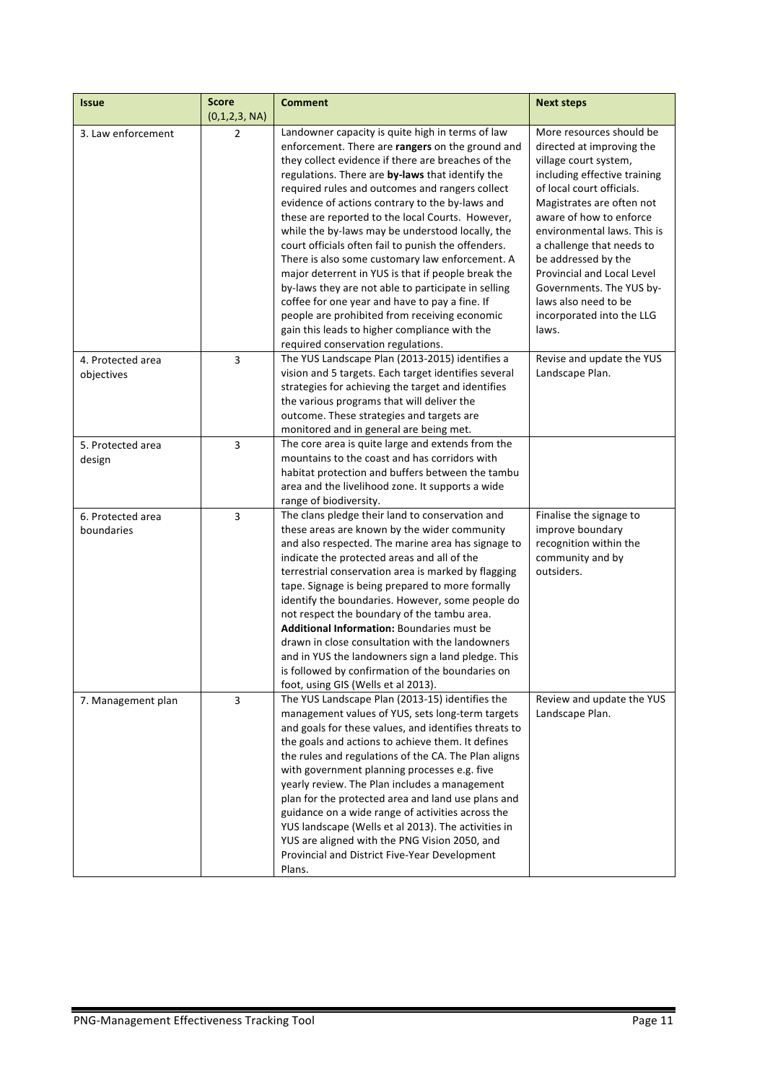| <b>Issue</b>       | <b>Score</b><br>(0,1,2,3, NA) | <b>Comment</b>                                                                                             | <b>Next steps</b>                 |
|--------------------|-------------------------------|------------------------------------------------------------------------------------------------------------|-----------------------------------|
| 3. Law enforcement | $\overline{2}$                | Landowner capacity is quite high in terms of law                                                           | More resources should be          |
|                    |                               | enforcement. There are rangers on the ground and                                                           | directed at improving the         |
|                    |                               | they collect evidence if there are breaches of the                                                         | village court system,             |
|                    |                               | regulations. There are by-laws that identify the                                                           | including effective training      |
|                    |                               | required rules and outcomes and rangers collect                                                            | of local court officials.         |
|                    |                               | evidence of actions contrary to the by-laws and                                                            | Magistrates are often not         |
|                    |                               | these are reported to the local Courts. However,                                                           | aware of how to enforce           |
|                    |                               | while the by-laws may be understood locally, the                                                           | environmental laws. This is       |
|                    |                               | court officials often fail to punish the offenders.                                                        | a challenge that needs to         |
|                    |                               | There is also some customary law enforcement. A                                                            | be addressed by the               |
|                    |                               | major deterrent in YUS is that if people break the                                                         | <b>Provincial and Local Level</b> |
|                    |                               | by-laws they are not able to participate in selling                                                        | Governments. The YUS by-          |
|                    |                               | coffee for one year and have to pay a fine. If                                                             | laws also need to be              |
|                    |                               | people are prohibited from receiving economic                                                              | incorporated into the LLG         |
|                    |                               | gain this leads to higher compliance with the                                                              | laws.                             |
|                    |                               | required conservation regulations.                                                                         |                                   |
| 4. Protected area  | 3                             | The YUS Landscape Plan (2013-2015) identifies a                                                            | Revise and update the YUS         |
| objectives         |                               | vision and 5 targets. Each target identifies several<br>strategies for achieving the target and identifies | Landscape Plan.                   |
|                    |                               | the various programs that will deliver the                                                                 |                                   |
|                    |                               | outcome. These strategies and targets are                                                                  |                                   |
|                    |                               | monitored and in general are being met.                                                                    |                                   |
| 5. Protected area  | 3                             | The core area is quite large and extends from the                                                          |                                   |
| design             |                               | mountains to the coast and has corridors with                                                              |                                   |
|                    |                               | habitat protection and buffers between the tambu                                                           |                                   |
|                    |                               | area and the livelihood zone. It supports a wide                                                           |                                   |
|                    |                               | range of biodiversity.                                                                                     |                                   |
| 6. Protected area  | 3                             | The clans pledge their land to conservation and                                                            | Finalise the signage to           |
| boundaries         |                               | these areas are known by the wider community                                                               | improve boundary                  |
|                    |                               | and also respected. The marine area has signage to                                                         | recognition within the            |
|                    |                               | indicate the protected areas and all of the                                                                | community and by                  |
|                    |                               | terrestrial conservation area is marked by flagging                                                        | outsiders.                        |
|                    |                               | tape. Signage is being prepared to more formally                                                           |                                   |
|                    |                               | identify the boundaries. However, some people do                                                           |                                   |
|                    |                               | not respect the boundary of the tambu area.                                                                |                                   |
|                    |                               | <b>Additional Information: Boundaries must be</b>                                                          |                                   |
|                    |                               | drawn in close consultation with the landowners<br>and in YUS the landowners sign a land pledge. This      |                                   |
|                    |                               |                                                                                                            |                                   |
|                    |                               | is followed by confirmation of the boundaries on<br>foot, using GIS (Wells et al 2013).                    |                                   |
| 7. Management plan | 3                             | The YUS Landscape Plan (2013-15) identifies the                                                            | Review and update the YUS         |
|                    |                               | management values of YUS, sets long-term targets                                                           | Landscape Plan.                   |
|                    |                               | and goals for these values, and identifies threats to                                                      |                                   |
|                    |                               | the goals and actions to achieve them. It defines                                                          |                                   |
|                    |                               | the rules and regulations of the CA. The Plan aligns                                                       |                                   |
|                    |                               | with government planning processes e.g. five                                                               |                                   |
|                    |                               | yearly review. The Plan includes a management                                                              |                                   |
|                    |                               | plan for the protected area and land use plans and                                                         |                                   |
|                    |                               | guidance on a wide range of activities across the                                                          |                                   |
|                    |                               | YUS landscape (Wells et al 2013). The activities in                                                        |                                   |
|                    |                               | YUS are aligned with the PNG Vision 2050, and                                                              |                                   |
|                    |                               | Provincial and District Five-Year Development                                                              |                                   |
|                    |                               | Plans.                                                                                                     |                                   |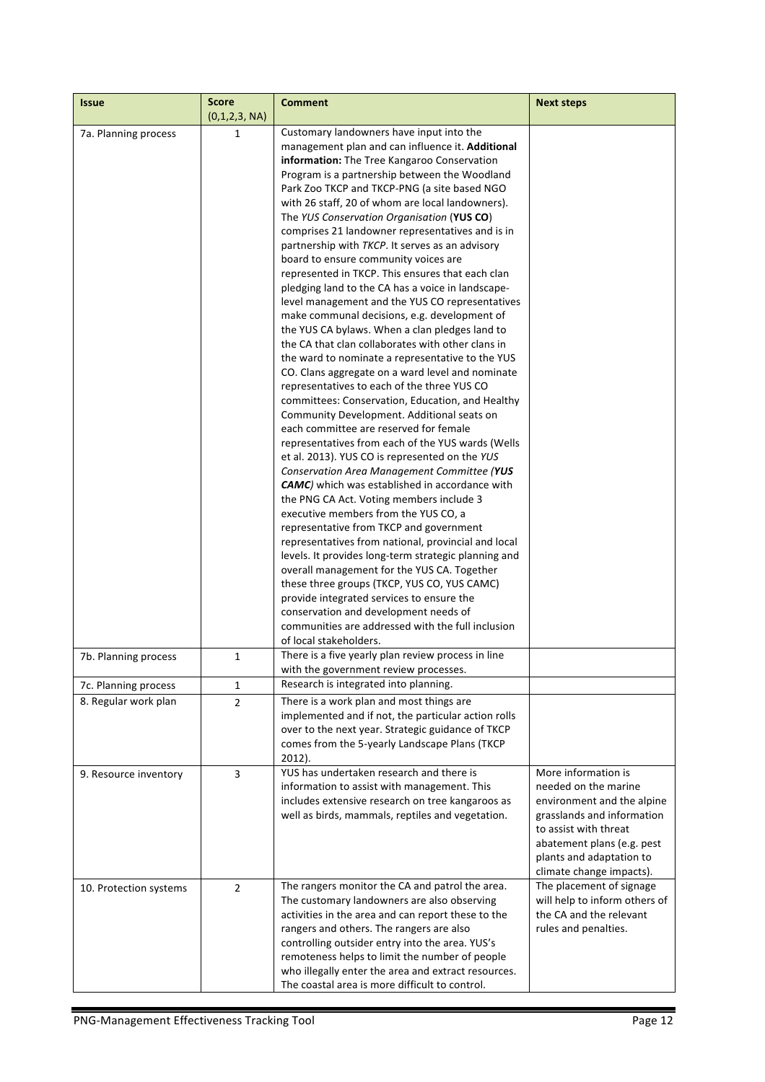| <b>Issue</b>           | <b>Score</b><br>(0,1,2,3, NA) | <b>Comment</b>                                                                                                                                                                                                                                                                                                                                                                                                                                                                                                                                                                                                                                                                                                                                                                                                                                                                                                                                                                                                                                                                                                                                                                                                                                                                                                                                                                                                                                                                                                                                                                                                                                                                                                                                                        | <b>Next steps</b>                                                                                                                                                                                                      |
|------------------------|-------------------------------|-----------------------------------------------------------------------------------------------------------------------------------------------------------------------------------------------------------------------------------------------------------------------------------------------------------------------------------------------------------------------------------------------------------------------------------------------------------------------------------------------------------------------------------------------------------------------------------------------------------------------------------------------------------------------------------------------------------------------------------------------------------------------------------------------------------------------------------------------------------------------------------------------------------------------------------------------------------------------------------------------------------------------------------------------------------------------------------------------------------------------------------------------------------------------------------------------------------------------------------------------------------------------------------------------------------------------------------------------------------------------------------------------------------------------------------------------------------------------------------------------------------------------------------------------------------------------------------------------------------------------------------------------------------------------------------------------------------------------------------------------------------------------|------------------------------------------------------------------------------------------------------------------------------------------------------------------------------------------------------------------------|
| 7a. Planning process   | 1                             | Customary landowners have input into the<br>management plan and can influence it. Additional<br>information: The Tree Kangaroo Conservation<br>Program is a partnership between the Woodland<br>Park Zoo TKCP and TKCP-PNG (a site based NGO<br>with 26 staff, 20 of whom are local landowners).<br>The YUS Conservation Organisation (YUS CO)<br>comprises 21 landowner representatives and is in<br>partnership with TKCP. It serves as an advisory<br>board to ensure community voices are<br>represented in TKCP. This ensures that each clan<br>pledging land to the CA has a voice in landscape-<br>level management and the YUS CO representatives<br>make communal decisions, e.g. development of<br>the YUS CA bylaws. When a clan pledges land to<br>the CA that clan collaborates with other clans in<br>the ward to nominate a representative to the YUS<br>CO. Clans aggregate on a ward level and nominate<br>representatives to each of the three YUS CO<br>committees: Conservation, Education, and Healthy<br>Community Development. Additional seats on<br>each committee are reserved for female<br>representatives from each of the YUS wards (Wells<br>et al. 2013). YUS CO is represented on the YUS<br>Conservation Area Management Committee (YUS<br><b>CAMC</b> ) which was established in accordance with<br>the PNG CA Act. Voting members include 3<br>executive members from the YUS CO, a<br>representative from TKCP and government<br>representatives from national, provincial and local<br>levels. It provides long-term strategic planning and<br>overall management for the YUS CA. Together<br>these three groups (TKCP, YUS CO, YUS CAMC)<br>provide integrated services to ensure the<br>conservation and development needs of |                                                                                                                                                                                                                        |
|                        |                               | communities are addressed with the full inclusion<br>of local stakeholders.                                                                                                                                                                                                                                                                                                                                                                                                                                                                                                                                                                                                                                                                                                                                                                                                                                                                                                                                                                                                                                                                                                                                                                                                                                                                                                                                                                                                                                                                                                                                                                                                                                                                                           |                                                                                                                                                                                                                        |
| 7b. Planning process   | 1                             | There is a five yearly plan review process in line<br>with the government review processes.                                                                                                                                                                                                                                                                                                                                                                                                                                                                                                                                                                                                                                                                                                                                                                                                                                                                                                                                                                                                                                                                                                                                                                                                                                                                                                                                                                                                                                                                                                                                                                                                                                                                           |                                                                                                                                                                                                                        |
| 7c. Planning process   | 1                             | Research is integrated into planning.                                                                                                                                                                                                                                                                                                                                                                                                                                                                                                                                                                                                                                                                                                                                                                                                                                                                                                                                                                                                                                                                                                                                                                                                                                                                                                                                                                                                                                                                                                                                                                                                                                                                                                                                 |                                                                                                                                                                                                                        |
| 8. Regular work plan   | $\overline{2}$                | There is a work plan and most things are<br>implemented and if not, the particular action rolls<br>over to the next year. Strategic guidance of TKCP<br>comes from the 5-yearly Landscape Plans (TKCP<br>$2012$ ).                                                                                                                                                                                                                                                                                                                                                                                                                                                                                                                                                                                                                                                                                                                                                                                                                                                                                                                                                                                                                                                                                                                                                                                                                                                                                                                                                                                                                                                                                                                                                    |                                                                                                                                                                                                                        |
| 9. Resource inventory  | 3                             | YUS has undertaken research and there is<br>information to assist with management. This<br>includes extensive research on tree kangaroos as<br>well as birds, mammals, reptiles and vegetation.                                                                                                                                                                                                                                                                                                                                                                                                                                                                                                                                                                                                                                                                                                                                                                                                                                                                                                                                                                                                                                                                                                                                                                                                                                                                                                                                                                                                                                                                                                                                                                       | More information is<br>needed on the marine<br>environment and the alpine<br>grasslands and information<br>to assist with threat<br>abatement plans (e.g. pest<br>plants and adaptation to<br>climate change impacts). |
| 10. Protection systems | 2                             | The rangers monitor the CA and patrol the area.<br>The customary landowners are also observing<br>activities in the area and can report these to the<br>rangers and others. The rangers are also<br>controlling outsider entry into the area. YUS's<br>remoteness helps to limit the number of people<br>who illegally enter the area and extract resources.<br>The coastal area is more difficult to control.                                                                                                                                                                                                                                                                                                                                                                                                                                                                                                                                                                                                                                                                                                                                                                                                                                                                                                                                                                                                                                                                                                                                                                                                                                                                                                                                                        | The placement of signage<br>will help to inform others of<br>the CA and the relevant<br>rules and penalties.                                                                                                           |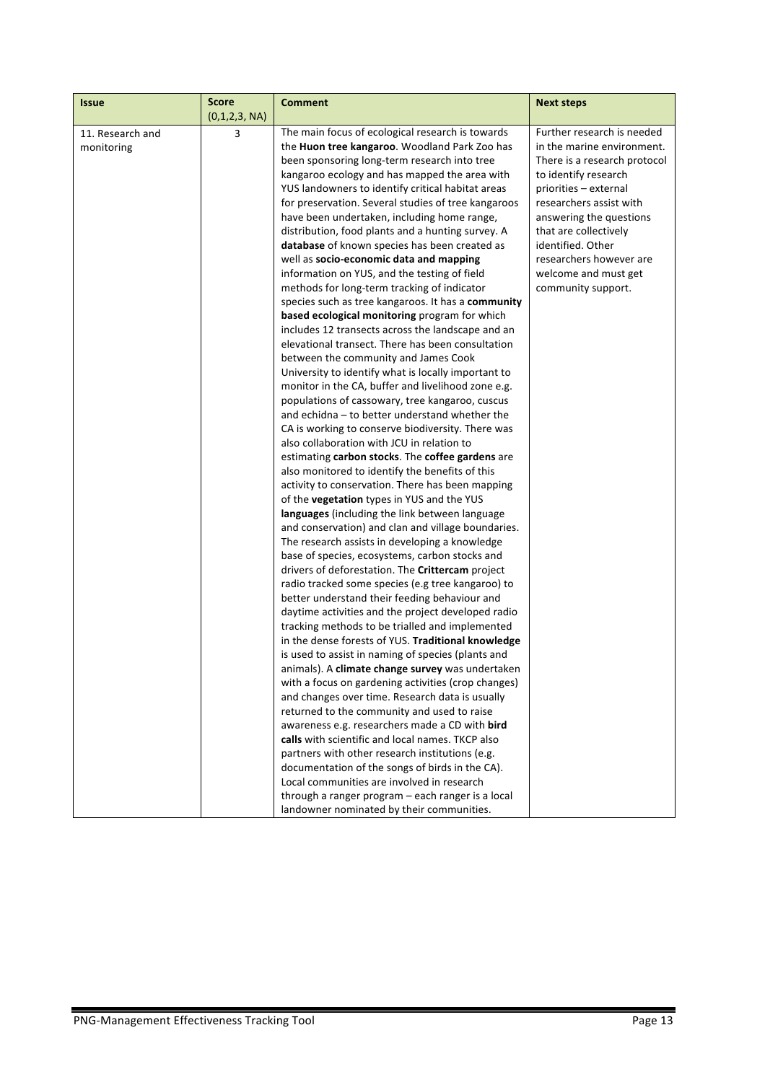| <b>Issue</b>     | <b>Score</b>  | <b>Comment</b>                                                                                | <b>Next steps</b>            |
|------------------|---------------|-----------------------------------------------------------------------------------------------|------------------------------|
|                  | (0,1,2,3, NA) |                                                                                               |                              |
| 11. Research and | 3             | The main focus of ecological research is towards                                              | Further research is needed   |
| monitoring       |               | the Huon tree kangaroo. Woodland Park Zoo has                                                 | in the marine environment.   |
|                  |               | been sponsoring long-term research into tree                                                  | There is a research protocol |
|                  |               | kangaroo ecology and has mapped the area with                                                 | to identify research         |
|                  |               | YUS landowners to identify critical habitat areas                                             | priorities - external        |
|                  |               | for preservation. Several studies of tree kangaroos                                           | researchers assist with      |
|                  |               | have been undertaken, including home range,                                                   | answering the questions      |
|                  |               | distribution, food plants and a hunting survey. A                                             | that are collectively        |
|                  |               | database of known species has been created as                                                 | identified. Other            |
|                  |               | well as socio-economic data and mapping                                                       | researchers however are      |
|                  |               | information on YUS, and the testing of field                                                  | welcome and must get         |
|                  |               | methods for long-term tracking of indicator                                                   | community support.           |
|                  |               | species such as tree kangaroos. It has a community                                            |                              |
|                  |               | based ecological monitoring program for which                                                 |                              |
|                  |               | includes 12 transects across the landscape and an                                             |                              |
|                  |               | elevational transect. There has been consultation                                             |                              |
|                  |               | between the community and James Cook<br>University to identify what is locally important to   |                              |
|                  |               | monitor in the CA, buffer and livelihood zone e.g.                                            |                              |
|                  |               | populations of cassowary, tree kangaroo, cuscus                                               |                              |
|                  |               | and echidna - to better understand whether the                                                |                              |
|                  |               | CA is working to conserve biodiversity. There was                                             |                              |
|                  |               | also collaboration with JCU in relation to                                                    |                              |
|                  |               | estimating carbon stocks. The coffee gardens are                                              |                              |
|                  |               | also monitored to identify the benefits of this                                               |                              |
|                  |               | activity to conservation. There has been mapping                                              |                              |
|                  |               | of the vegetation types in YUS and the YUS                                                    |                              |
|                  |               | languages (including the link between language                                                |                              |
|                  |               | and conservation) and clan and village boundaries.                                            |                              |
|                  |               | The research assists in developing a knowledge                                                |                              |
|                  |               | base of species, ecosystems, carbon stocks and                                                |                              |
|                  |               | drivers of deforestation. The Crittercam project                                              |                              |
|                  |               | radio tracked some species (e.g tree kangaroo) to                                             |                              |
|                  |               | better understand their feeding behaviour and                                                 |                              |
|                  |               | daytime activities and the project developed radio                                            |                              |
|                  |               | tracking methods to be trialled and implemented                                               |                              |
|                  |               | in the dense forests of YUS. Traditional knowledge                                            |                              |
|                  |               | is used to assist in naming of species (plants and                                            |                              |
|                  |               | animals). A climate change survey was undertaken                                              |                              |
|                  |               | with a focus on gardening activities (crop changes)                                           |                              |
|                  |               | and changes over time. Research data is usually                                               |                              |
|                  |               | returned to the community and used to raise                                                   |                              |
|                  |               | awareness e.g. researchers made a CD with bird                                                |                              |
|                  |               | calls with scientific and local names. TKCP also                                              |                              |
|                  |               | partners with other research institutions (e.g.                                               |                              |
|                  |               | documentation of the songs of birds in the CA).<br>Local communities are involved in research |                              |
|                  |               | through a ranger program - each ranger is a local                                             |                              |
|                  |               | landowner nominated by their communities.                                                     |                              |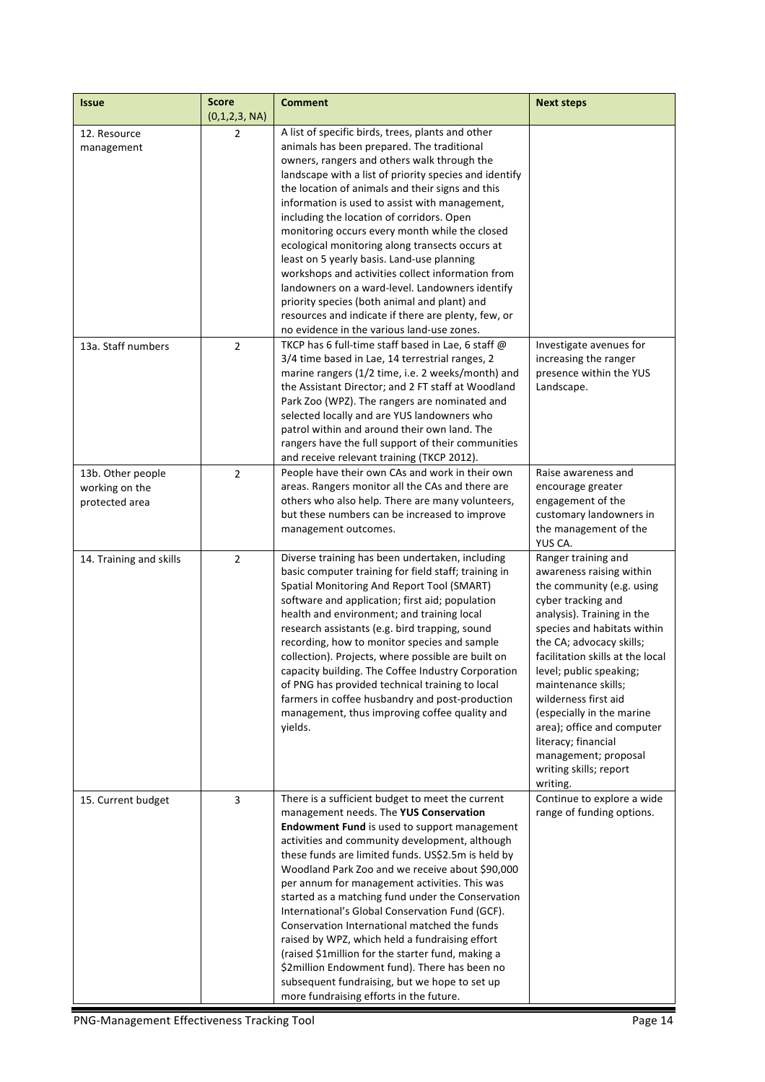| <b>Issue</b>                                          | <b>Score</b><br>(0,1,2,3, NA) | <b>Comment</b>                                                                                                                                                                                                                                                                                                                                                                                                                                                                                                                                                                                                                                                                                                                                                              | <b>Next steps</b>                                                                                                                                                                                                                                                                                                                                                                                                                                         |
|-------------------------------------------------------|-------------------------------|-----------------------------------------------------------------------------------------------------------------------------------------------------------------------------------------------------------------------------------------------------------------------------------------------------------------------------------------------------------------------------------------------------------------------------------------------------------------------------------------------------------------------------------------------------------------------------------------------------------------------------------------------------------------------------------------------------------------------------------------------------------------------------|-----------------------------------------------------------------------------------------------------------------------------------------------------------------------------------------------------------------------------------------------------------------------------------------------------------------------------------------------------------------------------------------------------------------------------------------------------------|
| 12. Resource<br>management                            | $\overline{2}$                | A list of specific birds, trees, plants and other<br>animals has been prepared. The traditional<br>owners, rangers and others walk through the<br>landscape with a list of priority species and identify<br>the location of animals and their signs and this<br>information is used to assist with management,<br>including the location of corridors. Open<br>monitoring occurs every month while the closed<br>ecological monitoring along transects occurs at<br>least on 5 yearly basis. Land-use planning<br>workshops and activities collect information from<br>landowners on a ward-level. Landowners identify<br>priority species (both animal and plant) and<br>resources and indicate if there are plenty, few, or<br>no evidence in the various land-use zones. |                                                                                                                                                                                                                                                                                                                                                                                                                                                           |
| 13a. Staff numbers                                    | $\overline{2}$                | TKCP has 6 full-time staff based in Lae, 6 staff @<br>3/4 time based in Lae, 14 terrestrial ranges, 2<br>marine rangers (1/2 time, i.e. 2 weeks/month) and<br>the Assistant Director; and 2 FT staff at Woodland<br>Park Zoo (WPZ). The rangers are nominated and<br>selected locally and are YUS landowners who<br>patrol within and around their own land. The<br>rangers have the full support of their communities<br>and receive relevant training (TKCP 2012).                                                                                                                                                                                                                                                                                                        | Investigate avenues for<br>increasing the ranger<br>presence within the YUS<br>Landscape.                                                                                                                                                                                                                                                                                                                                                                 |
| 13b. Other people<br>working on the<br>protected area | $\overline{2}$                | People have their own CAs and work in their own<br>areas. Rangers monitor all the CAs and there are<br>others who also help. There are many volunteers,<br>but these numbers can be increased to improve<br>management outcomes.                                                                                                                                                                                                                                                                                                                                                                                                                                                                                                                                            | Raise awareness and<br>encourage greater<br>engagement of the<br>customary landowners in<br>the management of the<br>YUS CA.                                                                                                                                                                                                                                                                                                                              |
| 14. Training and skills                               | $\overline{2}$                | Diverse training has been undertaken, including<br>basic computer training for field staff; training in<br>Spatial Monitoring And Report Tool (SMART)<br>software and application; first aid; population<br>health and environment; and training local<br>research assistants (e.g. bird trapping, sound<br>recording, how to monitor species and sample<br>collection). Projects, where possible are built on<br>capacity building. The Coffee Industry Corporation<br>of PNG has provided technical training to local<br>farmers in coffee husbandry and post-production<br>management, thus improving coffee quality and<br>yields.                                                                                                                                      | Ranger training and<br>awareness raising within<br>the community (e.g. using<br>cyber tracking and<br>analysis). Training in the<br>species and habitats within<br>the CA; advocacy skills;<br>facilitation skills at the local<br>level; public speaking;<br>maintenance skills;<br>wilderness first aid<br>(especially in the marine<br>area); office and computer<br>literacy; financial<br>management; proposal<br>writing skills; report<br>writing. |
| 15. Current budget                                    | 3                             | There is a sufficient budget to meet the current<br>management needs. The YUS Conservation<br>Endowment Fund is used to support management<br>activities and community development, although<br>these funds are limited funds. US\$2.5m is held by<br>Woodland Park Zoo and we receive about \$90,000<br>per annum for management activities. This was<br>started as a matching fund under the Conservation<br>International's Global Conservation Fund (GCF).<br>Conservation International matched the funds<br>raised by WPZ, which held a fundraising effort<br>(raised \$1million for the starter fund, making a<br>\$2million Endowment fund). There has been no<br>subsequent fundraising, but we hope to set up<br>more fundraising efforts in the future.          | Continue to explore a wide<br>range of funding options.                                                                                                                                                                                                                                                                                                                                                                                                   |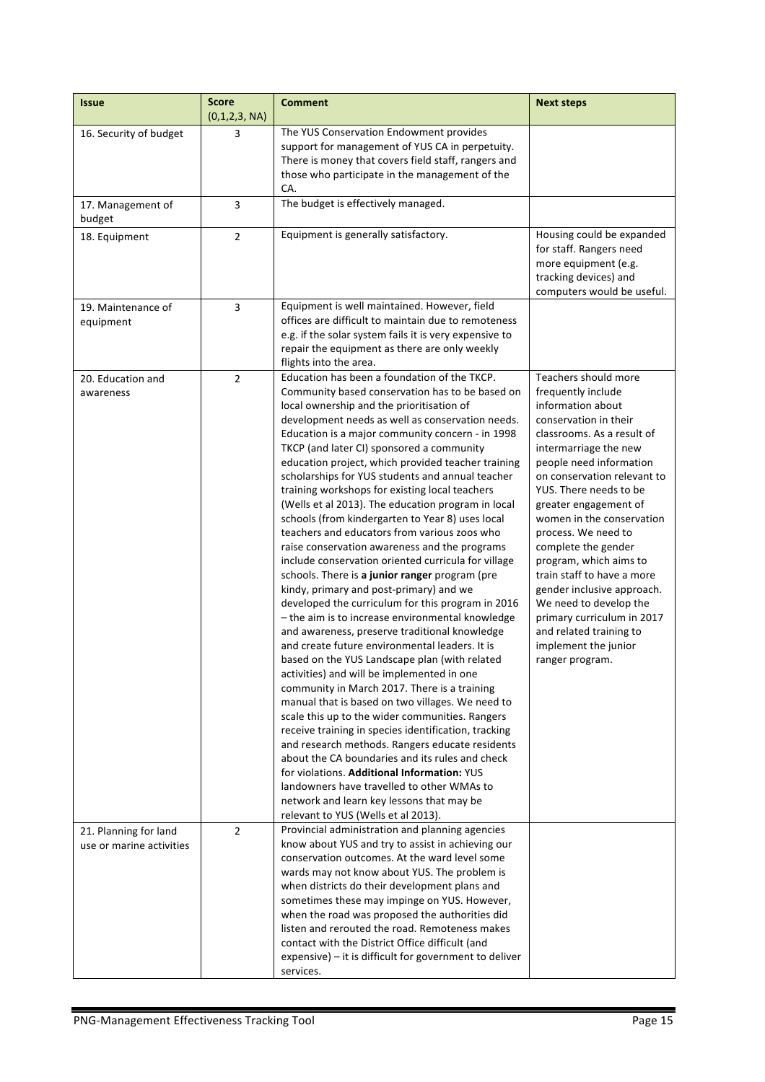| <b>Issue</b>                                      | <b>Score</b><br>(0,1,2,3, NA) | <b>Comment</b>                                                                                                                                                                                                                                                                                                                                                                                                                                                                                                                                                                                                                                                                                                                                                                                                                                                                                                                                                                                                                                                                                                                                                                                                                                                                                                                                                                                                                                                                                                                                                                                                                                | <b>Next steps</b>                                                                                                                                                                                                                                                                                                                                                                                                                                                                                                                                           |
|---------------------------------------------------|-------------------------------|-----------------------------------------------------------------------------------------------------------------------------------------------------------------------------------------------------------------------------------------------------------------------------------------------------------------------------------------------------------------------------------------------------------------------------------------------------------------------------------------------------------------------------------------------------------------------------------------------------------------------------------------------------------------------------------------------------------------------------------------------------------------------------------------------------------------------------------------------------------------------------------------------------------------------------------------------------------------------------------------------------------------------------------------------------------------------------------------------------------------------------------------------------------------------------------------------------------------------------------------------------------------------------------------------------------------------------------------------------------------------------------------------------------------------------------------------------------------------------------------------------------------------------------------------------------------------------------------------------------------------------------------------|-------------------------------------------------------------------------------------------------------------------------------------------------------------------------------------------------------------------------------------------------------------------------------------------------------------------------------------------------------------------------------------------------------------------------------------------------------------------------------------------------------------------------------------------------------------|
| 16. Security of budget                            | 3                             | The YUS Conservation Endowment provides<br>support for management of YUS CA in perpetuity.<br>There is money that covers field staff, rangers and<br>those who participate in the management of the<br>CA.                                                                                                                                                                                                                                                                                                                                                                                                                                                                                                                                                                                                                                                                                                                                                                                                                                                                                                                                                                                                                                                                                                                                                                                                                                                                                                                                                                                                                                    |                                                                                                                                                                                                                                                                                                                                                                                                                                                                                                                                                             |
| 17. Management of<br>budget                       | 3                             | The budget is effectively managed.                                                                                                                                                                                                                                                                                                                                                                                                                                                                                                                                                                                                                                                                                                                                                                                                                                                                                                                                                                                                                                                                                                                                                                                                                                                                                                                                                                                                                                                                                                                                                                                                            |                                                                                                                                                                                                                                                                                                                                                                                                                                                                                                                                                             |
| 18. Equipment                                     | $\overline{2}$                | Equipment is generally satisfactory.                                                                                                                                                                                                                                                                                                                                                                                                                                                                                                                                                                                                                                                                                                                                                                                                                                                                                                                                                                                                                                                                                                                                                                                                                                                                                                                                                                                                                                                                                                                                                                                                          | Housing could be expanded<br>for staff. Rangers need<br>more equipment (e.g.<br>tracking devices) and<br>computers would be useful.                                                                                                                                                                                                                                                                                                                                                                                                                         |
| 19. Maintenance of<br>equipment                   | 3                             | Equipment is well maintained. However, field<br>offices are difficult to maintain due to remoteness<br>e.g. if the solar system fails it is very expensive to<br>repair the equipment as there are only weekly<br>flights into the area.                                                                                                                                                                                                                                                                                                                                                                                                                                                                                                                                                                                                                                                                                                                                                                                                                                                                                                                                                                                                                                                                                                                                                                                                                                                                                                                                                                                                      |                                                                                                                                                                                                                                                                                                                                                                                                                                                                                                                                                             |
| 20. Education and<br>awareness                    | $\overline{2}$                | Education has been a foundation of the TKCP.<br>Community based conservation has to be based on<br>local ownership and the prioritisation of<br>development needs as well as conservation needs.<br>Education is a major community concern - in 1998<br>TKCP (and later CI) sponsored a community<br>education project, which provided teacher training<br>scholarships for YUS students and annual teacher<br>training workshops for existing local teachers<br>(Wells et al 2013). The education program in local<br>schools (from kindergarten to Year 8) uses local<br>teachers and educators from various zoos who<br>raise conservation awareness and the programs<br>include conservation oriented curricula for village<br>schools. There is a junior ranger program (pre<br>kindy, primary and post-primary) and we<br>developed the curriculum for this program in 2016<br>- the aim is to increase environmental knowledge<br>and awareness, preserve traditional knowledge<br>and create future environmental leaders. It is<br>based on the YUS Landscape plan (with related<br>activities) and will be implemented in one<br>community in March 2017. There is a training<br>manual that is based on two villages. We need to<br>scale this up to the wider communities. Rangers<br>receive training in species identification, tracking<br>and research methods. Rangers educate residents<br>about the CA boundaries and its rules and check<br>for violations. Additional Information: YUS<br>landowners have travelled to other WMAs to<br>network and learn key lessons that may be<br>relevant to YUS (Wells et al 2013). | Teachers should more<br>frequently include<br>information about<br>conservation in their<br>classrooms. As a result of<br>intermarriage the new<br>people need information<br>on conservation relevant to<br>YUS. There needs to be<br>greater engagement of<br>women in the conservation<br>process. We need to<br>complete the gender<br>program, which aims to<br>train staff to have a more<br>gender inclusive approach.<br>We need to develop the<br>primary curriculum in 2017<br>and related training to<br>implement the junior<br>ranger program. |
| 21. Planning for land<br>use or marine activities | $\overline{2}$                | Provincial administration and planning agencies<br>know about YUS and try to assist in achieving our<br>conservation outcomes. At the ward level some<br>wards may not know about YUS. The problem is<br>when districts do their development plans and<br>sometimes these may impinge on YUS. However,<br>when the road was proposed the authorities did<br>listen and rerouted the road. Remoteness makes<br>contact with the District Office difficult (and<br>expensive) - it is difficult for government to deliver<br>services.                                                                                                                                                                                                                                                                                                                                                                                                                                                                                                                                                                                                                                                                                                                                                                                                                                                                                                                                                                                                                                                                                                          |                                                                                                                                                                                                                                                                                                                                                                                                                                                                                                                                                             |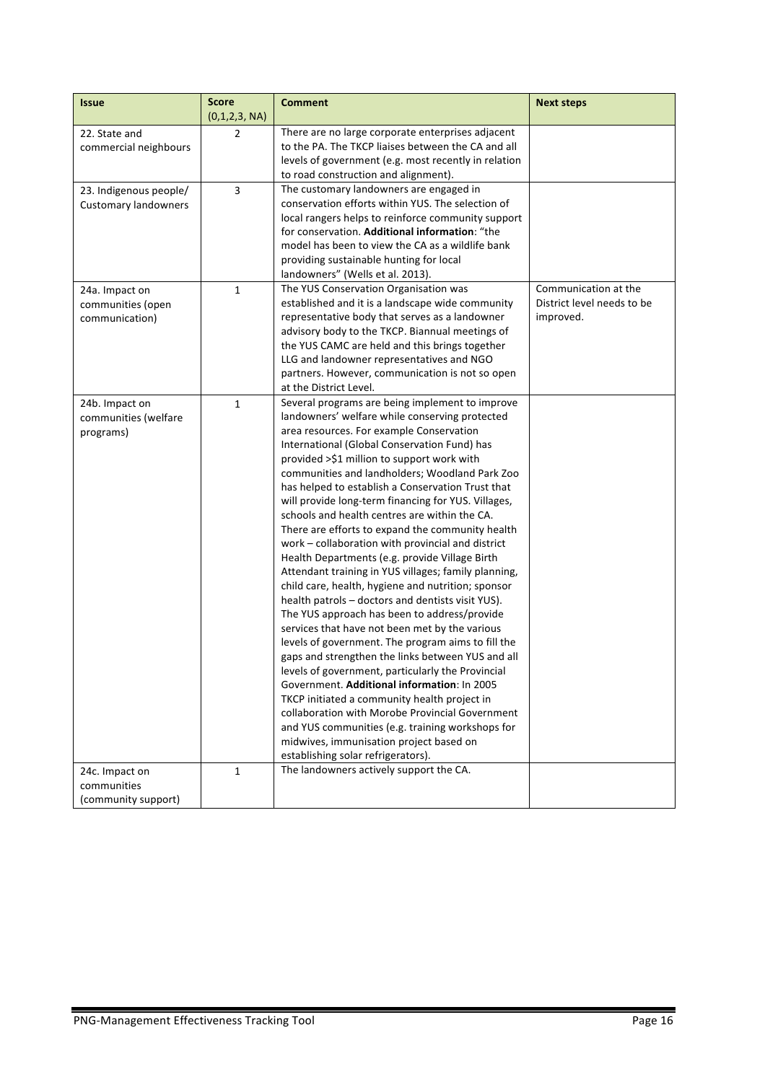| <b>Issue</b>                                          | <b>Score</b><br>(0,1,2,3, NA) | <b>Comment</b>                                                                                                                                                                                                                                                                                                                                                                                                                                                                                                                                                                                                                                                                                                                                                                                                                                                                                                                                                                                                                                                                                                                                                                                                                                                                                                                                    | <b>Next steps</b>                                               |
|-------------------------------------------------------|-------------------------------|---------------------------------------------------------------------------------------------------------------------------------------------------------------------------------------------------------------------------------------------------------------------------------------------------------------------------------------------------------------------------------------------------------------------------------------------------------------------------------------------------------------------------------------------------------------------------------------------------------------------------------------------------------------------------------------------------------------------------------------------------------------------------------------------------------------------------------------------------------------------------------------------------------------------------------------------------------------------------------------------------------------------------------------------------------------------------------------------------------------------------------------------------------------------------------------------------------------------------------------------------------------------------------------------------------------------------------------------------|-----------------------------------------------------------------|
| 22. State and<br>commercial neighbours                | $\overline{2}$                | There are no large corporate enterprises adjacent<br>to the PA. The TKCP liaises between the CA and all<br>levels of government (e.g. most recently in relation<br>to road construction and alignment).                                                                                                                                                                                                                                                                                                                                                                                                                                                                                                                                                                                                                                                                                                                                                                                                                                                                                                                                                                                                                                                                                                                                           |                                                                 |
| 23. Indigenous people/<br><b>Customary landowners</b> | 3                             | The customary landowners are engaged in<br>conservation efforts within YUS. The selection of<br>local rangers helps to reinforce community support<br>for conservation. Additional information: "the<br>model has been to view the CA as a wildlife bank<br>providing sustainable hunting for local<br>landowners" (Wells et al. 2013).                                                                                                                                                                                                                                                                                                                                                                                                                                                                                                                                                                                                                                                                                                                                                                                                                                                                                                                                                                                                           |                                                                 |
| 24a. Impact on<br>communities (open<br>communication) | 1                             | The YUS Conservation Organisation was<br>established and it is a landscape wide community<br>representative body that serves as a landowner<br>advisory body to the TKCP. Biannual meetings of<br>the YUS CAMC are held and this brings together<br>LLG and landowner representatives and NGO<br>partners. However, communication is not so open<br>at the District Level.                                                                                                                                                                                                                                                                                                                                                                                                                                                                                                                                                                                                                                                                                                                                                                                                                                                                                                                                                                        | Communication at the<br>District level needs to be<br>improved. |
| 24b. Impact on<br>communities (welfare<br>programs)   | $\mathbf{1}$                  | Several programs are being implement to improve<br>landowners' welfare while conserving protected<br>area resources. For example Conservation<br>International (Global Conservation Fund) has<br>provided >\$1 million to support work with<br>communities and landholders; Woodland Park Zoo<br>has helped to establish a Conservation Trust that<br>will provide long-term financing for YUS. Villages,<br>schools and health centres are within the CA.<br>There are efforts to expand the community health<br>work - collaboration with provincial and district<br>Health Departments (e.g. provide Village Birth<br>Attendant training in YUS villages; family planning,<br>child care, health, hygiene and nutrition; sponsor<br>health patrols - doctors and dentists visit YUS).<br>The YUS approach has been to address/provide<br>services that have not been met by the various<br>levels of government. The program aims to fill the<br>gaps and strengthen the links between YUS and all<br>levels of government, particularly the Provincial<br>Government. Additional information: In 2005<br>TKCP initiated a community health project in<br>collaboration with Morobe Provincial Government<br>and YUS communities (e.g. training workshops for<br>midwives, immunisation project based on<br>establishing solar refrigerators). |                                                                 |
| 24c. Impact on<br>communities<br>(community support)  | 1                             | The landowners actively support the CA.                                                                                                                                                                                                                                                                                                                                                                                                                                                                                                                                                                                                                                                                                                                                                                                                                                                                                                                                                                                                                                                                                                                                                                                                                                                                                                           |                                                                 |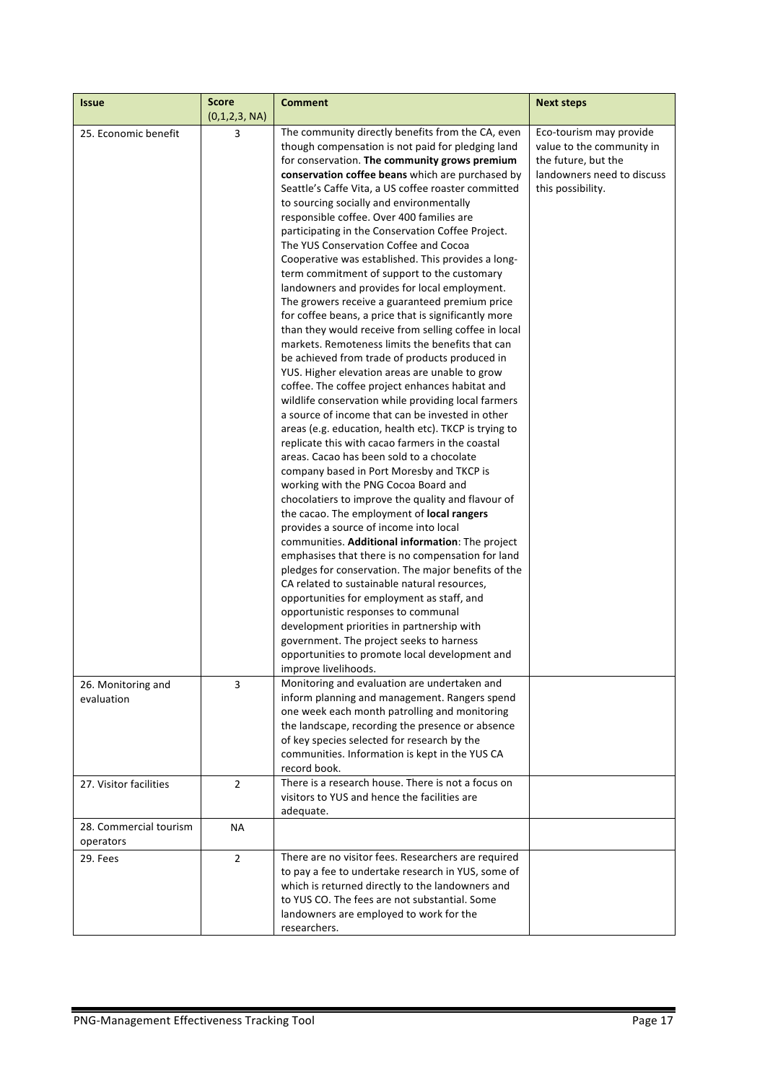| <b>Issue</b>                        | <b>Score</b><br>(0,1,2,3, NA) | <b>Comment</b>                                                                                                                                                                                                                                                                                                                                                                                                                                                                                                                                                                                                                                                                                                                                                                                                                                                                                                                                                                                                                                                                                                                                                                                                                                                                                                                                                                                                                                                                                                                                                                                                                                                                                                                                                                                                                                                                                                                                                                | <b>Next steps</b>                                                                                                              |
|-------------------------------------|-------------------------------|-------------------------------------------------------------------------------------------------------------------------------------------------------------------------------------------------------------------------------------------------------------------------------------------------------------------------------------------------------------------------------------------------------------------------------------------------------------------------------------------------------------------------------------------------------------------------------------------------------------------------------------------------------------------------------------------------------------------------------------------------------------------------------------------------------------------------------------------------------------------------------------------------------------------------------------------------------------------------------------------------------------------------------------------------------------------------------------------------------------------------------------------------------------------------------------------------------------------------------------------------------------------------------------------------------------------------------------------------------------------------------------------------------------------------------------------------------------------------------------------------------------------------------------------------------------------------------------------------------------------------------------------------------------------------------------------------------------------------------------------------------------------------------------------------------------------------------------------------------------------------------------------------------------------------------------------------------------------------------|--------------------------------------------------------------------------------------------------------------------------------|
| 25. Economic benefit                | 3                             | The community directly benefits from the CA, even<br>though compensation is not paid for pledging land<br>for conservation. The community grows premium<br>conservation coffee beans which are purchased by<br>Seattle's Caffe Vita, a US coffee roaster committed<br>to sourcing socially and environmentally<br>responsible coffee. Over 400 families are<br>participating in the Conservation Coffee Project.<br>The YUS Conservation Coffee and Cocoa<br>Cooperative was established. This provides a long-<br>term commitment of support to the customary<br>landowners and provides for local employment.<br>The growers receive a guaranteed premium price<br>for coffee beans, a price that is significantly more<br>than they would receive from selling coffee in local<br>markets. Remoteness limits the benefits that can<br>be achieved from trade of products produced in<br>YUS. Higher elevation areas are unable to grow<br>coffee. The coffee project enhances habitat and<br>wildlife conservation while providing local farmers<br>a source of income that can be invested in other<br>areas (e.g. education, health etc). TKCP is trying to<br>replicate this with cacao farmers in the coastal<br>areas. Cacao has been sold to a chocolate<br>company based in Port Moresby and TKCP is<br>working with the PNG Cocoa Board and<br>chocolatiers to improve the quality and flavour of<br>the cacao. The employment of local rangers<br>provides a source of income into local<br>communities. Additional information: The project<br>emphasises that there is no compensation for land<br>pledges for conservation. The major benefits of the<br>CA related to sustainable natural resources,<br>opportunities for employment as staff, and<br>opportunistic responses to communal<br>development priorities in partnership with<br>government. The project seeks to harness<br>opportunities to promote local development and<br>improve livelihoods. | Eco-tourism may provide<br>value to the community in<br>the future, but the<br>landowners need to discuss<br>this possibility. |
| 26. Monitoring and<br>evaluation    | 3                             | Monitoring and evaluation are undertaken and<br>inform planning and management. Rangers spend<br>one week each month patrolling and monitoring<br>the landscape, recording the presence or absence<br>of key species selected for research by the<br>communities. Information is kept in the YUS CA<br>record book.                                                                                                                                                                                                                                                                                                                                                                                                                                                                                                                                                                                                                                                                                                                                                                                                                                                                                                                                                                                                                                                                                                                                                                                                                                                                                                                                                                                                                                                                                                                                                                                                                                                           |                                                                                                                                |
| 27. Visitor facilities              | $\overline{2}$                | There is a research house. There is not a focus on<br>visitors to YUS and hence the facilities are<br>adequate.                                                                                                                                                                                                                                                                                                                                                                                                                                                                                                                                                                                                                                                                                                                                                                                                                                                                                                                                                                                                                                                                                                                                                                                                                                                                                                                                                                                                                                                                                                                                                                                                                                                                                                                                                                                                                                                               |                                                                                                                                |
| 28. Commercial tourism<br>operators | <b>NA</b>                     |                                                                                                                                                                                                                                                                                                                                                                                                                                                                                                                                                                                                                                                                                                                                                                                                                                                                                                                                                                                                                                                                                                                                                                                                                                                                                                                                                                                                                                                                                                                                                                                                                                                                                                                                                                                                                                                                                                                                                                               |                                                                                                                                |
| 29. Fees                            | $\overline{2}$                | There are no visitor fees. Researchers are required<br>to pay a fee to undertake research in YUS, some of<br>which is returned directly to the landowners and<br>to YUS CO. The fees are not substantial. Some<br>landowners are employed to work for the<br>researchers.                                                                                                                                                                                                                                                                                                                                                                                                                                                                                                                                                                                                                                                                                                                                                                                                                                                                                                                                                                                                                                                                                                                                                                                                                                                                                                                                                                                                                                                                                                                                                                                                                                                                                                     |                                                                                                                                |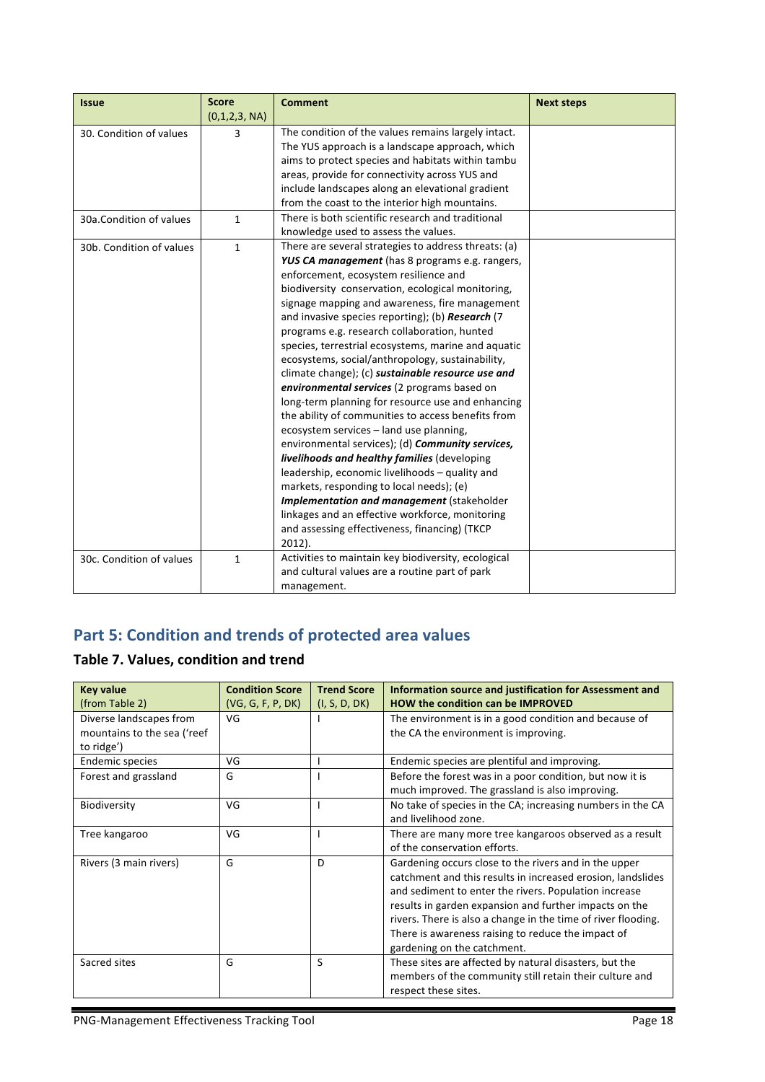| <b>Issue</b>             | <b>Score</b>  | <b>Comment</b>                                       | <b>Next steps</b> |
|--------------------------|---------------|------------------------------------------------------|-------------------|
|                          | (0,1,2,3, NA) |                                                      |                   |
| 30. Condition of values  | 3             | The condition of the values remains largely intact.  |                   |
|                          |               | The YUS approach is a landscape approach, which      |                   |
|                          |               | aims to protect species and habitats within tambu    |                   |
|                          |               | areas, provide for connectivity across YUS and       |                   |
|                          |               | include landscapes along an elevational gradient     |                   |
|                          |               | from the coast to the interior high mountains.       |                   |
| 30a.Condition of values  | 1             | There is both scientific research and traditional    |                   |
|                          |               | knowledge used to assess the values.                 |                   |
| 30b. Condition of values | 1             | There are several strategies to address threats: (a) |                   |
|                          |               | YUS CA management (has 8 programs e.g. rangers,      |                   |
|                          |               | enforcement, ecosystem resilience and                |                   |
|                          |               | biodiversity conservation, ecological monitoring,    |                   |
|                          |               | signage mapping and awareness, fire management       |                   |
|                          |               | and invasive species reporting); (b) Research (7     |                   |
|                          |               | programs e.g. research collaboration, hunted         |                   |
|                          |               | species, terrestrial ecosystems, marine and aquatic  |                   |
|                          |               | ecosystems, social/anthropology, sustainability,     |                   |
|                          |               | climate change); (c) sustainable resource use and    |                   |
|                          |               | environmental services (2 programs based on          |                   |
|                          |               | long-term planning for resource use and enhancing    |                   |
|                          |               | the ability of communities to access benefits from   |                   |
|                          |               | ecosystem services - land use planning,              |                   |
|                          |               | environmental services); (d) Community services,     |                   |
|                          |               | livelihoods and healthy families (developing         |                   |
|                          |               | leadership, economic livelihoods - quality and       |                   |
|                          |               | markets, responding to local needs); (e)             |                   |
|                          |               | Implementation and management (stakeholder           |                   |
|                          |               | linkages and an effective workforce, monitoring      |                   |
|                          |               | and assessing effectiveness, financing) (TKCP        |                   |
|                          |               | $2012$ ).                                            |                   |
| 30c. Condition of values | 1             | Activities to maintain key biodiversity, ecological  |                   |
|                          |               | and cultural values are a routine part of park       |                   |
|                          |               | management.                                          |                   |

# **Part 5: Condition and trends of protected area values**

## **Table 7. Values, condition and trend**

| <b>Key value</b>            | <b>Condition Score</b> | <b>Trend Score</b> | Information source and justification for Assessment and       |
|-----------------------------|------------------------|--------------------|---------------------------------------------------------------|
| (from Table 2)              | (VG, G, F, P, DK)      | (I, S, D, DK)      | <b>HOW the condition can be IMPROVED</b>                      |
| Diverse landscapes from     | VG                     |                    | The environment is in a good condition and because of         |
| mountains to the sea ('reef |                        |                    | the CA the environment is improving.                          |
| to ridge')                  |                        |                    |                                                               |
| Endemic species             | VG                     |                    | Endemic species are plentiful and improving.                  |
| Forest and grassland        | G                      |                    | Before the forest was in a poor condition, but now it is      |
|                             |                        |                    | much improved. The grassland is also improving.               |
| Biodiversity                | VG                     |                    | No take of species in the CA; increasing numbers in the CA    |
|                             |                        |                    | and livelihood zone.                                          |
| Tree kangaroo               | VG                     |                    | There are many more tree kangaroos observed as a result       |
|                             |                        |                    | of the conservation efforts.                                  |
| Rivers (3 main rivers)      | G                      | D                  | Gardening occurs close to the rivers and in the upper         |
|                             |                        |                    | catchment and this results in increased erosion, landslides   |
|                             |                        |                    | and sediment to enter the rivers. Population increase         |
|                             |                        |                    | results in garden expansion and further impacts on the        |
|                             |                        |                    | rivers. There is also a change in the time of river flooding. |
|                             |                        |                    | There is awareness raising to reduce the impact of            |
|                             |                        |                    | gardening on the catchment.                                   |
| Sacred sites                | G                      | S                  | These sites are affected by natural disasters, but the        |
|                             |                        |                    | members of the community still retain their culture and       |
|                             |                        |                    | respect these sites.                                          |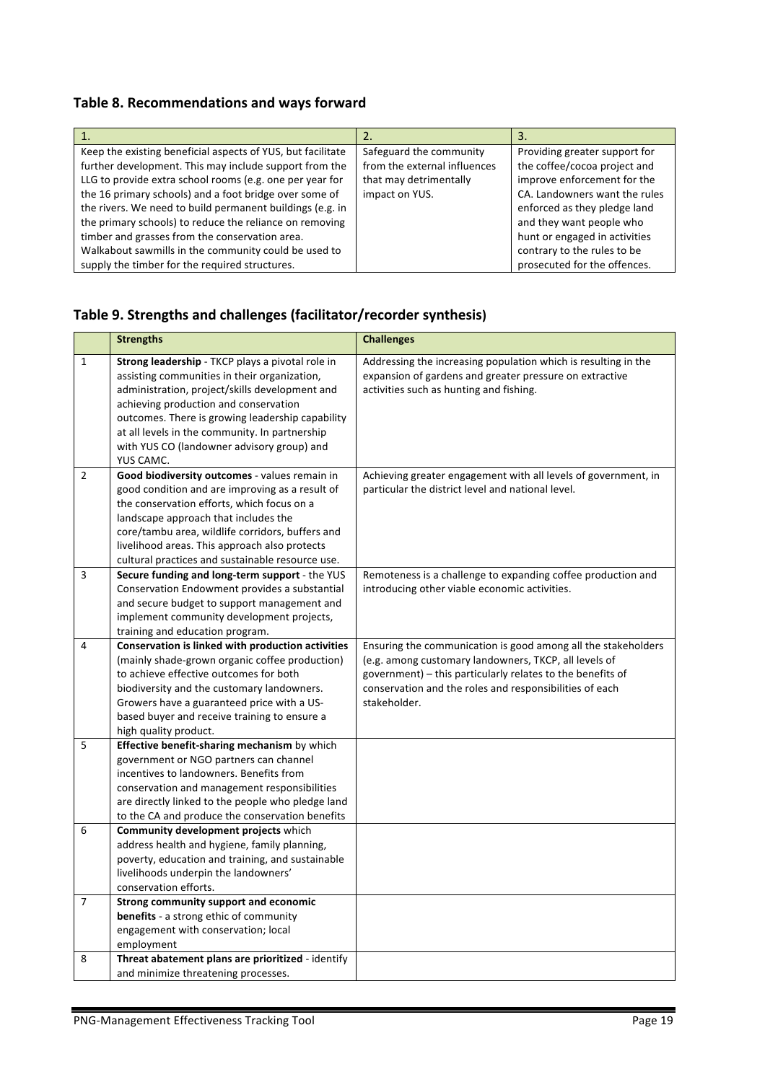#### Table 8. Recommendations and ways forward

| Keep the existing beneficial aspects of YUS, but facilitate | Safeguard the community      | Providing greater support for |
|-------------------------------------------------------------|------------------------------|-------------------------------|
| further development. This may include support from the      | from the external influences | the coffee/cocoa project and  |
| LLG to provide extra school rooms (e.g. one per year for    | that may detrimentally       | improve enforcement for the   |
| the 16 primary schools) and a foot bridge over some of      | impact on YUS.               | CA. Landowners want the rules |
| the rivers. We need to build permanent buildings (e.g. in   |                              | enforced as they pledge land  |
| the primary schools) to reduce the reliance on removing     |                              | and they want people who      |
| timber and grasses from the conservation area.              |                              | hunt or engaged in activities |
| Walkabout sawmills in the community could be used to        |                              | contrary to the rules to be   |
| supply the timber for the required structures.              |                              | prosecuted for the offences.  |

#### Table 9. Strengths and challenges (facilitator/recorder synthesis)

|                | <b>Strengths</b>                                                                                                                                                                                                                                                                                                                                             | <b>Challenges</b>                                                                                                                                                                                                                                               |
|----------------|--------------------------------------------------------------------------------------------------------------------------------------------------------------------------------------------------------------------------------------------------------------------------------------------------------------------------------------------------------------|-----------------------------------------------------------------------------------------------------------------------------------------------------------------------------------------------------------------------------------------------------------------|
| $\mathbf{1}$   | Strong leadership - TKCP plays a pivotal role in<br>assisting communities in their organization,<br>administration, project/skills development and<br>achieving production and conservation<br>outcomes. There is growing leadership capability<br>at all levels in the community. In partnership<br>with YUS CO (landowner advisory group) and<br>YUS CAMC. | Addressing the increasing population which is resulting in the<br>expansion of gardens and greater pressure on extractive<br>activities such as hunting and fishing.                                                                                            |
| $\overline{2}$ | Good biodiversity outcomes - values remain in<br>good condition and are improving as a result of<br>the conservation efforts, which focus on a<br>landscape approach that includes the<br>core/tambu area, wildlife corridors, buffers and<br>livelihood areas. This approach also protects<br>cultural practices and sustainable resource use.              | Achieving greater engagement with all levels of government, in<br>particular the district level and national level.                                                                                                                                             |
| 3              | Secure funding and long-term support - the YUS<br>Conservation Endowment provides a substantial<br>and secure budget to support management and<br>implement community development projects,<br>training and education program.                                                                                                                               | Remoteness is a challenge to expanding coffee production and<br>introducing other viable economic activities.                                                                                                                                                   |
| 4              | <b>Conservation is linked with production activities</b><br>(mainly shade-grown organic coffee production)<br>to achieve effective outcomes for both<br>biodiversity and the customary landowners.<br>Growers have a guaranteed price with a US-<br>based buyer and receive training to ensure a<br>high quality product.                                    | Ensuring the communication is good among all the stakeholders<br>(e.g. among customary landowners, TKCP, all levels of<br>government) - this particularly relates to the benefits of<br>conservation and the roles and responsibilities of each<br>stakeholder. |
| $\overline{5}$ | Effective benefit-sharing mechanism by which<br>government or NGO partners can channel<br>incentives to landowners. Benefits from<br>conservation and management responsibilities<br>are directly linked to the people who pledge land<br>to the CA and produce the conservation benefits                                                                    |                                                                                                                                                                                                                                                                 |
| 6              | Community development projects which<br>address health and hygiene, family planning,<br>poverty, education and training, and sustainable<br>livelihoods underpin the landowners'<br>conservation efforts.                                                                                                                                                    |                                                                                                                                                                                                                                                                 |
| $\overline{7}$ | <b>Strong community support and economic</b><br><b>benefits</b> - a strong ethic of community<br>engagement with conservation; local<br>employment                                                                                                                                                                                                           |                                                                                                                                                                                                                                                                 |
| 8              | Threat abatement plans are prioritized - identify<br>and minimize threatening processes.                                                                                                                                                                                                                                                                     |                                                                                                                                                                                                                                                                 |